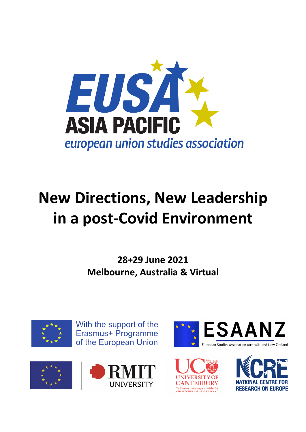

# **New Directions, New Leadership in a post-Covid Environment**

**28+29 June 2021 Melbourne, Australia & Virtual**



With the support of the Erasmus+ Programme of the European Union







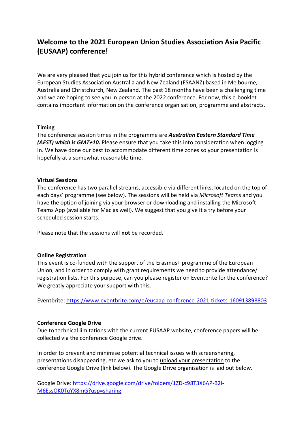# **Welcome to the 2021 European Union Studies Association Asia Pacific (EUSAAP) conference!**

We are very pleased that you join us for this hybrid conference which is hosted by the European Studies Association Australia and New Zealand (ESAANZ) based in Melbourne, Australia and Christchurch, New Zealand. The past 18 months have been a challenging time and we are hoping to see you in person at the 2022 conference. For now, this e-booklet contains important information on the conference organisation, programme and abstracts.

#### **Timing**

The conference session times in the programme are *Australian Eastern Standard Time (AEST) which is GMT+10.* Please ensure that you take this into consideration when logging in. We have done our best to accommodate different time zones so your presentation is hopefully at a somewhat reasonable time.

#### **Virtual Sessions**

The conference has two parallel streams, accessible via different links, located on the top of each days' programme (see below). The sessions will be held via *Microsoft Teams* and you have the option of joining via your browser or downloading and installing the Microsoft Teams App (available for Mac as well). We suggest that you give it a try before your scheduled session starts.

Please note that the sessions will **not** be recorded.

## **Online Registration**

This event is co-funded with the support of the Erasmus+ programme of the European Union, and in order to comply with grant requirements we need to provide attendance/ registration lists. For this purpose, can you please register on Eventbrite for the conference? We greatly appreciate your support with this.

Eventbrite: https://www.eventbrite.com/e/eusaap-conference-2021-tickets-160913898803

#### **Conference Google Drive**

Due to technical limitations with the current EUSAAP website, conference papers will be collected via the conference Google drive.

In order to prevent and minimise potential technical issues with screensharing, presentations disappearing, etc we ask to you to upload your presentation to the conference Google Drive (link below). The Google Drive organisation is laid out below.

Google Drive: https://drive.google.com/drive/folders/1ZD-c98T3X6AP-B2l-M6EssOK0TuYX8mG?usp=sharing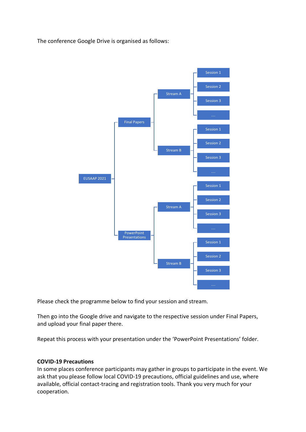The conference Google Drive is organised as follows:



Please check the programme below to find your session and stream.

Then go into the Google drive and navigate to the respective session under Final Papers, and upload your final paper there.

Repeat this process with your presentation under the 'PowerPoint Presentations' folder.

## **COVID-19 Precautions**

In some places conference participants may gather in groups to participate in the event. We ask that you please follow local COVID-19 precautions, official guidelines and use, where available, official contact-tracing and registration tools. Thank you very much for your cooperation.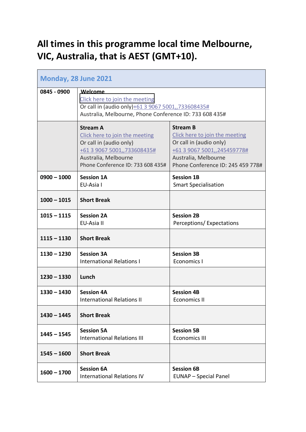# **All times in this programme local time Melbourne, VIC, Australia, that is AEST (GMT+10).**

| <b>Monday, 28 June 2021</b> |                                                                                                                                                                          |                                                                                                                                                                          |
|-----------------------------|--------------------------------------------------------------------------------------------------------------------------------------------------------------------------|--------------------------------------------------------------------------------------------------------------------------------------------------------------------------|
| 0845 - 0900                 | Welcome<br>Click here to join the meeting<br>Or call in (audio only)+61 3 9067 5001,,733608435#<br>Australia, Melbourne, Phone Conference ID: 733 608 435#               |                                                                                                                                                                          |
|                             | <b>Stream A</b><br>Click here to join the meeting<br>Or call in (audio only)<br>+61 3 9067 5001,,733608435#<br>Australia, Melbourne<br>Phone Conference ID: 733 608 435# | <b>Stream B</b><br>Click here to join the meeting<br>Or call in (audio only)<br>+61 3 9067 5001,,245459778#<br>Australia, Melbourne<br>Phone Conference ID: 245 459 778# |
| $0900 - 1000$               | <b>Session 1A</b><br>EU-Asia I                                                                                                                                           | <b>Session 1B</b><br><b>Smart Specialisation</b>                                                                                                                         |
| $1000 - 1015$               | <b>Short Break</b>                                                                                                                                                       |                                                                                                                                                                          |
| $1015 - 1115$               | <b>Session 2A</b><br>EU-Asia II                                                                                                                                          | <b>Session 2B</b><br>Perceptions/Expectations                                                                                                                            |
| $1115 - 1130$               | <b>Short Break</b>                                                                                                                                                       |                                                                                                                                                                          |
| $1130 - 1230$               | <b>Session 3A</b><br><b>International Relations I</b>                                                                                                                    | <b>Session 3B</b><br><b>Economics I</b>                                                                                                                                  |
| $1230 - 1330$               | Lunch                                                                                                                                                                    |                                                                                                                                                                          |
| $1330 - 1430$               | <b>Session 4A</b><br><b>International Relations II</b>                                                                                                                   | <b>Session 4B</b><br><b>Economics II</b>                                                                                                                                 |
| $1430 - 1445$               | <b>Short Break</b>                                                                                                                                                       |                                                                                                                                                                          |
| $1445 - 1545$               | <b>Session 5A</b><br><b>International Relations III</b>                                                                                                                  | <b>Session 5B</b><br><b>Economics III</b>                                                                                                                                |
| $1545 - 1600$               | <b>Short Break</b>                                                                                                                                                       |                                                                                                                                                                          |
| $1600 - 1700$               | <b>Session 6A</b><br><b>International Relations IV</b>                                                                                                                   | <b>Session 6B</b><br><b>EUNAP</b> - Special Panel                                                                                                                        |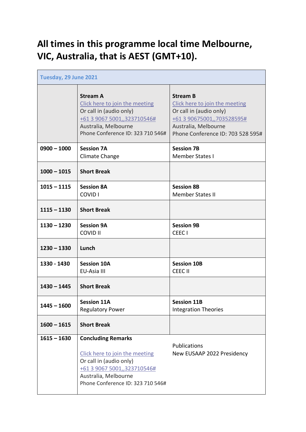# **All times in this programme local time Melbourne, VIC, Australia, that is AEST (GMT+10).**

| Tuesday, 29 June 2021 |                                                                                                                                                                                    |                                                                                                                                                                         |
|-----------------------|------------------------------------------------------------------------------------------------------------------------------------------------------------------------------------|-------------------------------------------------------------------------------------------------------------------------------------------------------------------------|
|                       | <b>Stream A</b><br>Click here to join the meeting<br>Or call in (audio only)<br>+61 3 9067 5001,,323710546#<br>Australia, Melbourne<br>Phone Conference ID: 323 710 546#           | <b>Stream B</b><br>Click here to join the meeting<br>Or call in (audio only)<br>+61 3 90675001,,703528595#<br>Australia, Melbourne<br>Phone Conference ID: 703 528 595# |
| $0900 - 1000$         | <b>Session 7A</b><br>Climate Change                                                                                                                                                | <b>Session 7B</b><br><b>Member States I</b>                                                                                                                             |
| $1000 - 1015$         | <b>Short Break</b>                                                                                                                                                                 |                                                                                                                                                                         |
| $1015 - 1115$         | <b>Session 8A</b><br><b>COVID I</b>                                                                                                                                                | <b>Session 8B</b><br><b>Member States II</b>                                                                                                                            |
| $1115 - 1130$         | <b>Short Break</b>                                                                                                                                                                 |                                                                                                                                                                         |
| $1130 - 1230$         | <b>Session 9A</b><br><b>COVID II</b>                                                                                                                                               | <b>Session 9B</b><br>CEEC <sub>I</sub>                                                                                                                                  |
| $1230 - 1330$         | Lunch                                                                                                                                                                              |                                                                                                                                                                         |
| 1330 - 1430           | <b>Session 10A</b><br>EU-Asia III                                                                                                                                                  | <b>Session 10B</b><br>CEEC II                                                                                                                                           |
| $1430 - 1445$         | <b>Short Break</b>                                                                                                                                                                 |                                                                                                                                                                         |
| $1445 - 1600$         | <b>Session 11A</b><br><b>Regulatory Power</b>                                                                                                                                      | <b>Session 11B</b><br><b>Integration Theories</b>                                                                                                                       |
| $1600 - 1615$         | <b>Short Break</b>                                                                                                                                                                 |                                                                                                                                                                         |
| $1615 - 1630$         | <b>Concluding Remarks</b><br>Click here to join the meeting<br>Or call in (audio only)<br>+61 3 9067 5001,,323710546#<br>Australia, Melbourne<br>Phone Conference ID: 323 710 546# | Publications<br>New EUSAAP 2022 Presidency                                                                                                                              |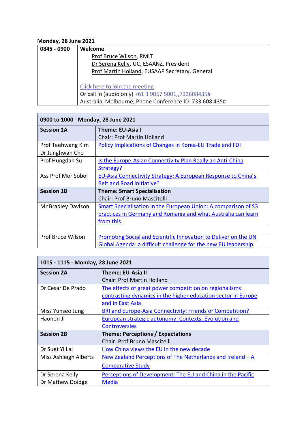# **Monday, 28 June 2021**

| 0845 - 0900 | Welcome                                                 |
|-------------|---------------------------------------------------------|
|             | Prof Bruce Wilson, RMIT                                 |
|             | Dr Serena Kelly, UC, ESAANZ, President                  |
|             | Prof Martin Holland, EUSAAP Secretary, General          |
|             |                                                         |
|             | Click here to join the meeting                          |
|             | Or call in (audio only) +61 3 9067 5001,,733608435#     |
|             | Australia, Melbourne, Phone Conference ID: 733 608 435# |

| 0900 to 1000 - Monday, 28 June 2021 |                                                                       |
|-------------------------------------|-----------------------------------------------------------------------|
| <b>Session 1A</b>                   | <b>Theme: EU-Asia I</b>                                               |
|                                     | <b>Chair: Prof Martin Holland</b>                                     |
| Prof Taehwang Kim                   | Policy Implications of Changes in Korea-EU Trade and FDI              |
| Dr Junghwan Cho                     |                                                                       |
| Prof Hungdah Su                     | Is the Europe-Asian Connectivity Plan Really an Anti-China            |
|                                     | Strategy?                                                             |
| Ass Prof Mor Sobol                  | EU-Asia Connectivity Strategy: A European Response to China's         |
|                                     | <b>Belt and Road Initiative?</b>                                      |
| <b>Session 1B</b>                   | <b>Theme: Smart Specialisation</b>                                    |
|                                     | Chair: Prof Bruno Mascitelli                                          |
| Mr Bradley Davison                  | <b>Smart Specialisation in the European Union: A comparison of S3</b> |
|                                     | practices in Germany and Romania and what Australia can learn         |
|                                     | from this                                                             |
|                                     |                                                                       |
| Prof Bruce Wilson                   | Promoting Social and Scientific Innovation to Deliver on the UN       |
|                                     | Global Agenda: a difficult challenge for the new EU leadership        |

| 1015 - 1115 - Monday, 28 June 2021 |                                                               |
|------------------------------------|---------------------------------------------------------------|
| <b>Session 2A</b>                  | <b>Theme: EU-Asia II</b>                                      |
|                                    | <b>Chair: Prof Martin Holland</b>                             |
| Dr Cesar De Prado                  | The effects of great power competition on regionalisms:       |
|                                    | contrasting dynamics in the higher education sector in Europe |
|                                    | and in East Asia                                              |
| Miss Yunseo Jung                   | BRI and Europe-Asia Connectivity: Friends or Competition?     |
| Haonon Ji                          | <b>European strategic autonomy: Contexts, Evolution and</b>   |
|                                    | <b>Controversies</b>                                          |
| <b>Session 2B</b>                  | Theme: Perceptions / Expectations                             |
|                                    | Chair: Prof Bruno Mascitelli                                  |
| Dr Suet Yi Lai                     | How China views the EU in the new decade                      |
| Miss Ashleigh Alberts              | New Zealand Perceptions of The Netherlands and Ireland - A    |
|                                    | <b>Comparative Study</b>                                      |
| Dr Serena Kelly                    | Perceptions of Development: The EU and China in the Pacific   |
| Dr Mathew Doidge                   | Media                                                         |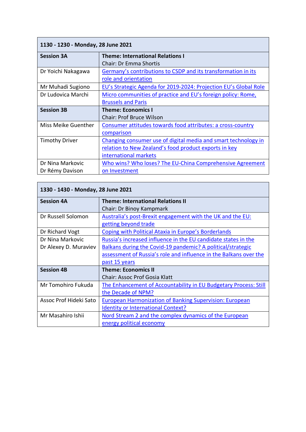| 1130 - 1230 - Monday, 28 June 2021 |                                                                  |  |
|------------------------------------|------------------------------------------------------------------|--|
| <b>Session 3A</b>                  | <b>Theme: International Relations I</b>                          |  |
|                                    | Chair: Dr Emma Shortis                                           |  |
| Dr Yoichi Nakagawa                 | Germany's contributions to CSDP and its transformation in its    |  |
|                                    | role and orientation                                             |  |
| Mr Muhadi Sugiono                  | EU's Strategic Agenda for 2019-2024: Projection EU's Global Role |  |
| Dr Ludovica Marchi                 | Micro communities of practice and EU's foreign policy: Rome,     |  |
|                                    | <b>Brussels and Paris</b>                                        |  |
|                                    |                                                                  |  |
| <b>Session 3B</b>                  | <b>Theme: Economics I</b>                                        |  |
|                                    | <b>Chair: Prof Bruce Wilson</b>                                  |  |
| Miss Meike Guenther                | Consumer attitudes towards food attributes: a cross-country      |  |
|                                    | comparison                                                       |  |
| <b>Timothy Driver</b>              | Changing consumer use of digital media and smart technology in   |  |
|                                    | relation to New Zealand's food product exports in key            |  |
|                                    | international markets                                            |  |
| Dr Nina Markovic                   | Who wins? Who loses? The EU-China Comprehensive Agreement        |  |

| 1330 - 1430 - Monday, 28 June 2021 |                                                                   |  |
|------------------------------------|-------------------------------------------------------------------|--|
| <b>Session 4A</b>                  | <b>Theme: International Relations II</b>                          |  |
|                                    | Chair: Dr Binoy Kampmark                                          |  |
| Dr Russell Solomon                 | Australia's post-Brexit engagement with the UK and the EU:        |  |
|                                    | getting beyond trade                                              |  |
| Dr Richard Vogt                    | <b>Coping with Political Ataxia in Europe's Borderlands</b>       |  |
| Dr Nina Markovic                   | Russia's increased influence in the EU candidate states in the    |  |
| Dr Alexey D. Muraviev              | Balkans during the Covid-19 pandemic? A political/strategic       |  |
|                                    | assessment of Russia's role and influence in the Balkans over the |  |
|                                    | past 15 years                                                     |  |
| <b>Session 4B</b>                  | <b>Theme: Economics II</b>                                        |  |
|                                    | <b>Chair: Assoc Prof Gosia Klatt</b>                              |  |
| Mr Tomohiro Fukuda                 | The Enhancement of Accountability in EU Budgetary Process: Still  |  |
|                                    | the Decade of NPM?                                                |  |
| Assoc Prof Hideki Sato             | <b>European Harmonization of Banking Supervision: European</b>    |  |
|                                    | <b>Identity or International Context?</b>                         |  |
| Mr Masahiro Ishii                  | Nord Stream 2 and the complex dynamics of the European            |  |
|                                    | energy political economy                                          |  |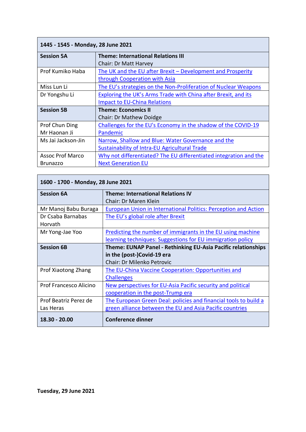| 1445 - 1545 - Monday, 28 June 2021 |                                                                   |
|------------------------------------|-------------------------------------------------------------------|
| <b>Session 5A</b>                  | <b>Theme: International Relations III</b>                         |
|                                    | Chair: Dr Matt Harvey                                             |
| Prof Kumiko Haba                   | The UK and the EU after Brexit - Development and Prosperity       |
|                                    | through Cooperation with Asia                                     |
| Miss Lun Li                        | The EU's strategies on the Non-Proliferation of Nuclear Weapons   |
| Dr Yongshu Li                      | Exploring the UK's Arms Trade with China after Brexit, and its    |
|                                    | <b>Impact to EU-China Relations</b>                               |
| <b>Session 5B</b>                  | <b>Theme: Economics II</b>                                        |
|                                    | <b>Chair: Dr Mathew Doidge</b>                                    |
| Prof Chun Ding                     | Challenges for the EU's Economy in the shadow of the COVID-19     |
| Mr Haonan Ji                       | Pandemic                                                          |
| Ms Jai Jackson-Jin                 | Narrow, Shallow and Blue: Water Governance and the                |
|                                    | Sustainability of Intra-EU Agricultural Trade                     |
| <b>Assoc Prof Marco</b>            | Why not differentiated? The EU differentiated integration and the |
| <b>Brunazzo</b>                    | <b>Next Generation EU</b>                                         |

| 1600 - 1700 - Monday, 28 June 2021 |                                                                                                                                  |
|------------------------------------|----------------------------------------------------------------------------------------------------------------------------------|
| <b>Session 6A</b>                  | <b>Theme: International Relations IV</b><br>Chair: Dr Maren Klein                                                                |
| Mr Manoj Babu Buraga               | European Union in International Politics: Perception and Action                                                                  |
| Dr Csaba Barnabas<br>Horvath       | The EU's global role after Brexit                                                                                                |
| Mr Yong-Jae Yoo                    | Predicting the number of immigrants in the EU using machine<br>learning techniques: Suggestions for EU immigration policy        |
| <b>Session 6B</b>                  | Theme: EUNAP Panel - Rethinking EU-Asia Pacific relationships<br>in the (post-)Covid-19 era<br><b>Chair: Dr Milenko Petrovic</b> |
| Prof Xiaotong Zhang                | The EU-China Vaccine Cooperation: Opportunities and<br><b>Challenges</b>                                                         |
| Prof Francesco Alicino             | New perspectives for EU-Asia Pacific security and political<br>cooperation in the post-Trump era                                 |
| Prof Beatriz Perez de<br>Las Heras | The European Green Deal: policies and financial tools to build a<br>green alliance between the EU and Asia Pacific countries     |
| $18.30 - 20.00$                    | <b>Conference dinner</b>                                                                                                         |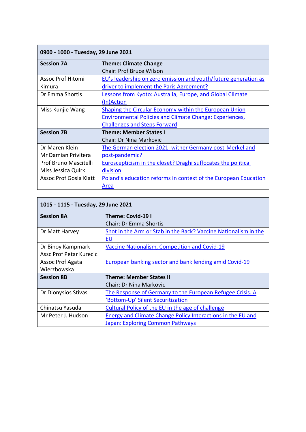| 0900 - 1000 - Tuesday, 29 June 2021 |                                                                  |  |
|-------------------------------------|------------------------------------------------------------------|--|
| <b>Session 7A</b>                   | <b>Theme: Climate Change</b>                                     |  |
|                                     | <b>Chair: Prof Bruce Wilson</b>                                  |  |
| Assoc Prof Hitomi                   | EU's leadership on zero emission and youth/future generation as  |  |
| Kimura                              | driver to implement the Paris Agreement?                         |  |
| Dr Emma Shortis                     | <b>Lessons from Kyoto: Australia, Europe, and Global Climate</b> |  |
|                                     | (In)Action                                                       |  |
| Miss Kunjie Wang                    | Shaping the Circular Economy within the European Union           |  |
|                                     | <b>Environmental Policies and Climate Change: Experiences,</b>   |  |
|                                     | <b>Challenges and Steps Forward</b>                              |  |
| <b>Session 7B</b>                   | <b>Theme: Member States I</b>                                    |  |
|                                     | <b>Chair: Dr Nina Markovic</b>                                   |  |
| Dr Maren Klein                      | The German election 2021: wither Germany post-Merkel and         |  |
| Mr Damian Privitera                 | post-pandemic?                                                   |  |
| Prof Bruno Mascitelli               | Euroscepticism in the closet? Draghi suffocates the political    |  |
| Miss Jessica Quirk                  | division                                                         |  |
| Assoc Prof Gosia Klatt              | Poland's education reforms in context of the European Education  |  |
|                                     | Area                                                             |  |

| 1015 - 1115 - Tuesday, 29 June 2021 |                                                                 |  |
|-------------------------------------|-----------------------------------------------------------------|--|
| <b>Session 8A</b>                   | Theme: Covid-19 I                                               |  |
|                                     | Chair: Dr Emma Shortis                                          |  |
| Dr Matt Harvey                      | Shot in the Arm or Stab in the Back? Vaccine Nationalism in the |  |
|                                     | EU                                                              |  |
| Dr Binoy Kampmark                   | Vaccine Nationalism, Competition and Covid-19                   |  |
| <b>Assc Prof Petar Kurecic</b>      |                                                                 |  |
| Assoc Prof Agata                    | European banking sector and bank lending amid Covid-19          |  |
| Wierzbowska                         |                                                                 |  |
| <b>Session 8B</b>                   | <b>Theme: Member States II</b>                                  |  |
|                                     | <b>Chair: Dr Nina Markovic</b>                                  |  |
| Dr Dionysios Stivas                 | The Response of Germany to the European Refugee Crisis. A       |  |
|                                     | 'Bottom-Up' Silent Securitization                               |  |
| Chinatsu Yasuda                     | Cultural Policy of the EU in the age of challenge               |  |
| Mr Peter J. Hudson                  | Energy and Climate Change Policy Interactions in the EU and     |  |
|                                     | Japan: Exploring Common Pathways                                |  |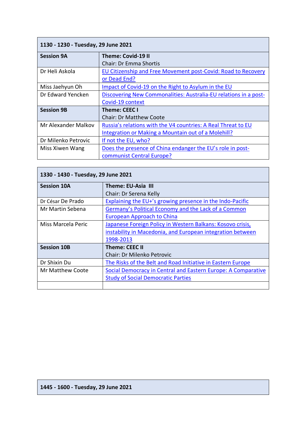| 1130 - 1230 - Tuesday, 29 June 2021 |                                                                  |  |
|-------------------------------------|------------------------------------------------------------------|--|
| <b>Session 9A</b>                   | <b>Theme: Covid-19 II</b>                                        |  |
|                                     | <b>Chair: Dr Emma Shortis</b>                                    |  |
| Dr Heli Askola                      | EU Citizenship and Free Movement post-Covid: Road to Recovery    |  |
|                                     | or Dead End?                                                     |  |
| Miss Jaehyun Oh                     | Impact of Covid-19 on the Right to Asylum in the EU              |  |
| Dr Edward Yencken                   | Discovering New Commonalities: Australia-EU relations in a post- |  |
|                                     | Covid-19 context                                                 |  |
| <b>Session 9B</b>                   | Theme: CEEC I                                                    |  |
|                                     | <b>Chair: Dr Matthew Coote</b>                                   |  |
| Mr Alexander Malkov                 | Russia's relations with the V4 countries: A Real Threat to EU    |  |
|                                     | Integration or Making a Mountain out of a Molehill?              |  |
| Dr Milenko Petrovic                 | If not the EU, who?                                              |  |
| Miss Xiwen Wang                     | Does the presence of China endanger the EU's role in post-       |  |
|                                     | communist Central Europe?                                        |  |

| 1330 - 1430 - Tuesday, 29 June 2021 |                                                               |
|-------------------------------------|---------------------------------------------------------------|
| <b>Session 10A</b>                  | Theme: EU-Asia III                                            |
|                                     | Chair: Dr Serena Kelly                                        |
| Dr César De Prado                   | Explaining the EU+'s growing presence in the Indo-Pacific     |
| Mr Martin Sebena                    | Germany's Political Economy and the Lack of a Common          |
|                                     | European Approach to China                                    |
| Miss Marcela Peric                  | Japanese Foreign Policy in Western Balkans: Kosovo crisis,    |
|                                     | instability in Macedonia, and European integration between    |
|                                     | 1998-2013                                                     |
| <b>Session 10B</b>                  | <b>Theme: CEEC II</b>                                         |
|                                     | <b>Chair: Dr Milenko Petrovic</b>                             |
| Dr Shixin Du                        | The Risks of the Belt and Road Initiative in Eastern Europe   |
| Mr Matthew Coote                    | Social Democracy in Central and Eastern Europe: A Comparative |
|                                     | <b>Study of Social Democratic Parties</b>                     |
|                                     |                                                               |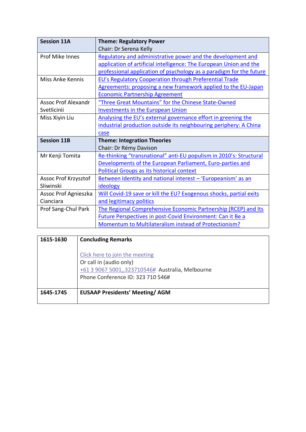| <b>Session 11A</b>         | <b>Theme: Regulatory Power</b>                                      |
|----------------------------|---------------------------------------------------------------------|
|                            | Chair: Dr Serena Kelly                                              |
| Prof Mike Innes            | Regulatory and administrative power and the development and         |
|                            | application of artificial intelligence: The European Union and the  |
|                            | professional application of psychology as a paradigm for the future |
| Miss Anke Kennis           | <b>EU's Regulatory Cooperation through Preferential Trade</b>       |
|                            | Agreements: proposing a new framework applied to the EU-Japan       |
|                            | <b>Economic Partnership Agreement</b>                               |
| <b>Assoc Prof Alexandr</b> | "Three Great Mountains" for the Chinese State-Owned                 |
| Svetlicinii                | <b>Investments in the European Union</b>                            |
| Miss Xiyin Liu             | Analysing the EU's external governance effort in greening the       |
|                            | industrial production outside its neighbouring periphery: A China   |
|                            | case                                                                |
| <b>Session 11B</b>         | <b>Theme: Integration Theories</b>                                  |
|                            | Chair: Dr Rémy Davison                                              |
| Mr Kenji Tomita            | Re-thinking "transnational" anti-EU populism in 2010's: Structural  |
|                            | Developments of the European Parliament, Euro-parties and           |
|                            | <b>Political Groups as its historical context</b>                   |
| Assoc Prof Krzysztof       | Between Identity and national interest - 'Europeanism' as an        |
| Sliwinski                  | ideology                                                            |
| Assoc Prof Agnieszka       | Will Covid-19 save or kill the EU? Exogenous shocks, partial exits  |
| Cianciara                  | and legitimacy politics                                             |
| Prof Sang-Chul Park        | The Regional Comprehensive Economic Partnership (RCEP) and Its      |
|                            | <b>Future Perspectives in post-Covid Environment: Can it Be a</b>   |
|                            | Momentum to Multilateralism instead of Protectionism?               |

| 1615-1630 | <b>Concluding Remarks</b>                                                                                                                          |
|-----------|----------------------------------------------------------------------------------------------------------------------------------------------------|
|           | Click here to join the meeting<br>Or call in (audio only)<br>+61 3 9067 5001,,323710546# Australia, Melbourne<br>Phone Conference ID: 323 710 546# |
| 1645-1745 | <b>EUSAAP Presidents' Meeting/AGM</b>                                                                                                              |
|           |                                                                                                                                                    |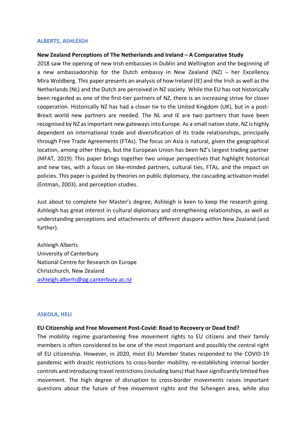#### **ALBERTS, ASHLEIGH**

#### **New Zealand Perceptions of The Netherlands and Ireland – A Comparative Study**

2018 saw the opening of new Irish embassies in Dublin and Wellington and the beginning of a new ambassadorship for the Dutch embassy in New Zealand (NZ) – her Excellency Mira Woldberg. This paper presents an analysis of how Ireland (IE) and the Irish as well as the Netherlands (NL) and the Dutch are perceived in NZ society. While the EU has not historically been regarded as one of the first-tier partners of NZ, there is an increasing strive for closer cooperation. Historically NZ has had a closer tie to the United Kingdom (UK), but in a post-Brexit world new partners are needed. The NL and IE are two partners that have been recognised by NZ as important new gateways into Europe. As a small nation state, NZ is highly dependent on international trade and diversification of its trade relationships, principally through Free Trade Agreements (FTAs). The focus on Asia is natural, given the geographical location, among other things, but the European Union has been NZ's largest trading partner (MFAT, 2019). This paper brings together two unique perspectives that highlight historical and new ties, with a focus on like-minded partners, cultural ties, FTAs, and the impact on policies. This paper is guided by theories on public diplomacy, the cascading activation model (Entman, 2003), and perception studies.

Just about to complete her Master's degree, Ashleigh is keen to keep the research going. Ashleigh has great interest in cultural diplomacy and strengthening relationships, as well as understanding perceptions and attachments of different diaspora within New Zealand (and further).

Ashleigh Alberts University of Canterbury National Centre for Research on Europe Christchurch, New Zealand ashleigh.alberts@pg.canterbury.ac.nz

#### **ASKOLA, HELI**

#### **EU Citizenship and Free Movement Post-Covid: Road to Recovery or Dead End?**

The mobility regime guaranteeing free movement rights to EU citizens and their family members is often considered to be one of the most important and possibly the central right of EU citizenship. However, in 2020, most EU Member States responded to the COVID-19 pandemic with drastic restrictions to cross-border mobility, re-establishing internal border controls and introducing travel restrictions (including bans) that have significantly limited free movement. The high degree of disruption to cross-border movements raises important questions about the future of free movement rights and the Schengen area, while also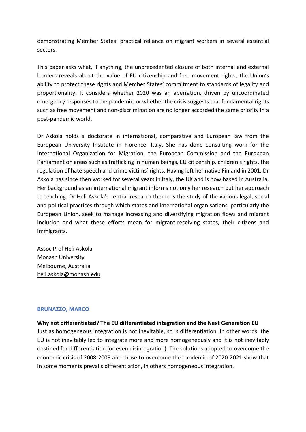demonstrating Member States' practical reliance on migrant workers in several essential sectors.

This paper asks what, if anything, the unprecedented closure of both internal and external borders reveals about the value of EU citizenship and free movement rights, the Union's ability to protect these rights and Member States' commitment to standards of legality and proportionality. It considers whether 2020 was an aberration, driven by uncoordinated emergency responses to the pandemic, or whether the crisis suggests that fundamental rights such as free movement and non-discrimination are no longer accorded the same priority in a post-pandemic world.

Dr Askola holds a doctorate in international, comparative and European law from the European University Institute in Florence, Italy. She has done consulting work for the International Organization for Migration, the European Commission and the European Parliament on areas such as trafficking in human beings, EU citizenship, children's rights, the regulation of hate speech and crime victims' rights. Having left her native Finland in 2001, Dr Askola has since then worked for several years in Italy, the UK and is now based in Australia. Her background as an international migrant informs not only her research but her approach to teaching. Dr Heli Askola's central research theme is the study of the various legal, social and political practices through which states and international organisations, particularly the European Union, seek to manage increasing and diversifying migration flows and migrant inclusion and what these efforts mean for migrant-receiving states, their citizens and immigrants.

Assoc Prof Heli Askola Monash University Melbourne, Australia heli.askola@monash.edu

#### **BRUNAZZO, MARCO**

**Why not differentiated? The EU differentiated integration and the Next Generation EU** Just as homogeneous integration is not inevitable, so is differentiation. In other words, the EU is not inevitably led to integrate more and more homogeneously and it is not inevitably destined for differentiation (or even disintegration). The solutions adopted to overcome the economic crisis of 2008-2009 and those to overcome the pandemic of 2020-2021 show that in some moments prevails differentiation, in others homogeneous integration.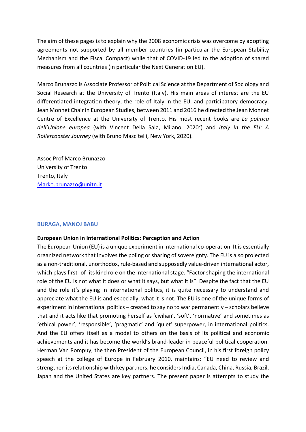The aim of these pages is to explain why the 2008 economic crisis was overcome by adopting agreements not supported by all member countries (in particular the European Stability Mechanism and the Fiscal Compact) while that of COVID-19 led to the adoption of shared measures from all countries (in particular the Next Generation EU).

Marco Brunazzo is Associate Professor of Political Science at the Department of Sociology and Social Research at the University of Trento (Italy). His main areas of interest are the EU differentiated integration theory, the role of Italy in the EU, and participatory democracy. Jean Monnet Chair in European Studies, between 2011 and 2016 he directed the Jean Monnet Centre of Excellence at the University of Trento. His most recent books are *La politica*  dell'Unione europea (with Vincent Della Sala, Milano, 2020<sup>2</sup>) and Italy in the EU: A *Rollercoaster Journey* (with Bruno Mascitelli, New York, 2020).

Assoc Prof Marco Brunazzo University of Trento Trento, Italy Marko.brunazzo@unitn.it

#### **BURAGA, MANOJ BABU**

#### **European Union in International Politics: Perception and Action**

The European Union (EU) is a unique experiment in international co-operation. It is essentially organized network that involves the poling or sharing of sovereignty. The EU is also projected as a non-traditional, unorthodox, rule-based and supposedly value-driven international actor, which plays first -of -its kind role on the international stage. "Factor shaping the international role of the EU is not what it does or what it says, but what it is". Despite the fact that the EU and the role it's playing in international politics, it is quite necessary to understand and appreciate what the EU is and especially, what it is not. The EU is one of the unique forms of experiment in international politics – created to say no to war permanently – scholars believe that and it acts like that promoting herself as 'civilian', 'soft', 'normative' and sometimes as 'ethical power', 'responsible', 'pragmatic' and 'quiet' superpower, in international politics. And the EU offers itself as a model to others on the basis of its political and economic achievements and it has become the world's brand-leader in peaceful political cooperation. Herman Van Rompuy, the then President of the European Council, in his first foreign policy speech at the college of Europe in February 2010, maintains: "EU need to review and strengthen its relationship with key partners, he considers India, Canada, China, Russia, Brazil, Japan and the United States are key partners. The present paper is attempts to study the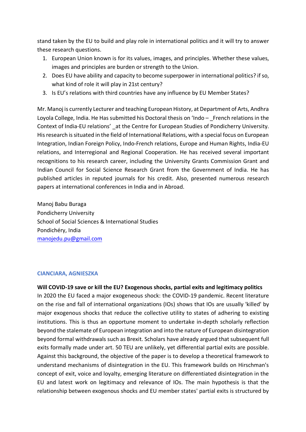stand taken by the EU to build and play role in international politics and it will try to answer these research questions.

- 1. European Union known is for its values, images, and principles. Whether these values, images and principles are burden or strength to the Union.
- 2. Does EU have ability and capacity to become superpower in international politics? if so, what kind of role it will play in 21st century?
- 3. Is EU's relations with third countries have any influence by EU Member States?

Mr. Manoj is currently Lecturer and teaching European History, at Department of Arts, Andhra Loyola College, India. He Has submitted his Doctoral thesis on 'Indo - French relations in the Context of India-EU relations' \_at the Centre for European Studies of Pondicherry University. His research is situated in the field of International Relations, with a special focus on European Integration, Indian Foreign Policy, Indo-French relations, Europe and Human Rights, India-EU relations, and Interregional and Regional Cooperation. He has received several important recognitions to his research career, including the University Grants Commission Grant and Indian Council for Social Science Research Grant from the Government of India. He has published articles in reputed journals for his credit. Also, presented numerous research papers at international conferences in India and in Abroad.

Manoj Babu Buraga Pondicherry University School of Social Sciences & International Studies Pondichéry, India manojedu.pu@gmail.com

#### **CIANCIARA, AGNIESZKA**

**Will COVID-19 save or kill the EU? Exogenous shocks, partial exits and legitimacy politics** In 2020 the EU faced a major exogeneous shock: the COVID-19 pandemic. Recent literature on the rise and fall of international organizations (IOs) shows that IOs are usually 'killed' by major exogenous shocks that reduce the collective utility to states of adhering to existing institutions. This is thus an opportune moment to undertake in-depth scholarly reflection beyond the stalemate of European integration and into the nature of European disintegration beyond formal withdrawals such as Brexit. Scholars have already argued that subsequent full exits formally made under art. 50 TEU are unlikely, yet differential partial exits are possible. Against this background, the objective of the paper is to develop a theoretical framework to understand mechanisms of disintegration in the EU. This framework builds on Hirschman's concept of exit, voice and loyalty, emerging literature on differentiated disintegration in the EU and latest work on legitimacy and relevance of IOs. The main hypothesis is that the relationship between exogenous shocks and EU member states' partial exits is structured by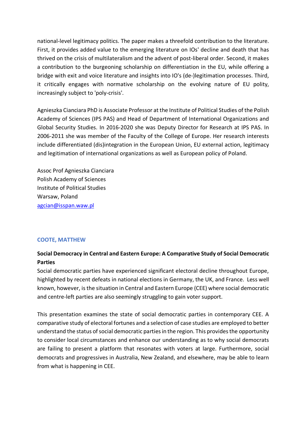national-level legitimacy politics. The paper makes a threefold contribution to the literature. First, it provides added value to the emerging literature on IOs' decline and death that has thrived on the crisis of multilateralism and the advent of post-liberal order. Second, it makes a contribution to the burgeoning scholarship on differentiation in the EU, while offering a bridge with exit and voice literature and insights into IO's (de-)legitimation processes. Third, it critically engages with normative scholarship on the evolving nature of EU polity, increasingly subject to 'poly-crisis'.

Agnieszka Cianciara PhD is Associate Professor at the Institute of Political Studies of the Polish Academy of Sciences (IPS PAS) and Head of Department of International Organizations and Global Security Studies. In 2016-2020 she was Deputy Director for Research at IPS PAS. In 2006-2011 she was member of the Faculty of the College of Europe. Her research interests include differentiated (dis)integration in the European Union, EU external action, legitimacy and legitimation of international organizations as well as European policy of Poland.

Assoc Prof Agnieszka Cianciara Polish Academy of Sciences Institute of Political Studies Warsaw, Poland agcian@isspan.waw.pl

## **COOTE, MATTHEW**

# **Social Democracy in Central and Eastern Europe: A Comparative Study of Social Democratic Parties**

Social democratic parties have experienced significant electoral decline throughout Europe, highlighted by recent defeats in national elections in Germany, the UK, and France. Less well known, however, is the situation in Central and Eastern Europe (CEE) where social democratic and centre-left parties are also seemingly struggling to gain voter support.

This presentation examines the state of social democratic parties in contemporary CEE. A comparative study of electoral fortunes and a selection of case studies are employed to better understand the status of social democratic parties in the region. This provides the opportunity to consider local circumstances and enhance our understanding as to why social democrats are failing to present a platform that resonates with voters at large. Furthermore, social democrats and progressives in Australia, New Zealand, and elsewhere, may be able to learn from what is happening in CEE.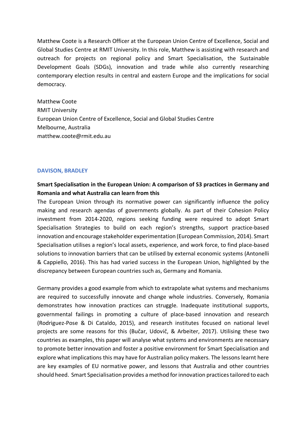Matthew Coote is a Research Officer at the European Union Centre of Excellence, Social and Global Studies Centre at RMIT University. In this role, Matthew is assisting with research and outreach for projects on regional policy and Smart Specialisation, the Sustainable Development Goals (SDGs), innovation and trade while also currently researching contemporary election results in central and eastern Europe and the implications for social democracy.

Matthew Coote RMIT University European Union Centre of Excellence, Social and Global Studies Centre Melbourne, Australia matthew.coote@rmit.edu.au

#### **DAVISON, BRADLEY**

# **Smart Specialisation in the European Union: A comparison of S3 practices in Germany and Romania and what Australia can learn from this**

The European Union through its normative power can significantly influence the policy making and research agendas of governments globally. As part of their Cohesion Policy investment from 2014-2020, regions seeking funding were required to adopt Smart Specialisation Strategies to build on each region's strengths, support practice-based innovation and encourage stakeholder experimentation (European Commission, 2014). Smart Specialisation utilises a region's local assets, experience, and work force, to find place-based solutions to innovation barriers that can be utilised by external economic systems (Antonelli & Cappiello, 2016). This has had varied success in the European Union, highlighted by the discrepancy between European countries such as, Germany and Romania.

Germany provides a good example from which to extrapolate what systems and mechanisms are required to successfully innovate and change whole industries. Conversely, Romania demonstrates how innovation practices can struggle. Inadequate institutional supports, governmental failings in promoting a culture of place-based innovation and research (Rodriguez-Pose & Di Cataldo, 2015), and research institutes focused on national level projects are some reasons for this (Bučar, Udovič, & Arbeiter, 2017). Utilising these two countries as examples, this paper will analyse what systems and environments are necessary to promote better innovation and foster a positive environment for Smart Specialisation and explore what implications this may have for Australian policy makers. The lessons learnt here are key examples of EU normative power, and lessons that Australia and other countries should heed. Smart Specialisation provides a method for innovation practices tailored to each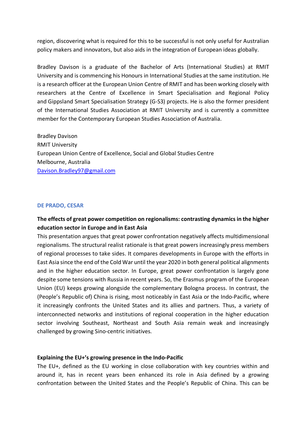region, discovering what is required for this to be successful is not only useful for Australian policy makers and innovators, but also aids in the integration of European ideas globally.

Bradley Davison is a graduate of the Bachelor of Arts (International Studies) at RMIT University and is commencing his Honours in International Studies at the same institution. He is a research officer at the European Union Centre of RMIT and has been working closely with researchers at the Centre of Excellence in Smart Specialisation and Regional Policy and Gippsland Smart Specialisation Strategy (G-S3) projects. He is also the former president of the International Studies Association at RMIT University and is currently a committee member for the Contemporary European Studies Association of Australia.

Bradley Davison RMIT University European Union Centre of Excellence, Social and Global Studies Centre Melbourne, Australia Davison.Bradley97@gmail.com

#### **DE PRADO, CESAR**

# **The effects of great power competition on regionalisms: contrasting dynamics in the higher education sector in Europe and in East Asia**

This presentation argues that great power confrontation negatively affects multidimensional regionalisms. The structural realist rationale is that great powers increasingly press members of regional processes to take sides. It compares developments in Europe with the efforts in East Asia since the end of the Cold War until the year 2020 in both general political alignments and in the higher education sector. In Europe, great power confrontation is largely gone despite some tensions with Russia in recent years. So, the Erasmus program of the European Union (EU) keeps growing alongside the complementary Bologna process. In contrast, the (People's Republic of) China is rising, most noticeably in East Asia or the Indo-Pacific, where it increasingly confronts the United States and its allies and partners. Thus, a variety of interconnected networks and institutions of regional cooperation in the higher education sector involving Southeast, Northeast and South Asia remain weak and increasingly challenged by growing Sino-centric initiatives.

#### **Explaining the EU+'s growing presence in the Indo-Pacific**

The EU+, defined as the EU working in close collaboration with key countries within and around it, has in recent years been enhanced its role in Asia defined by a growing confrontation between the United States and the People's Republic of China. This can be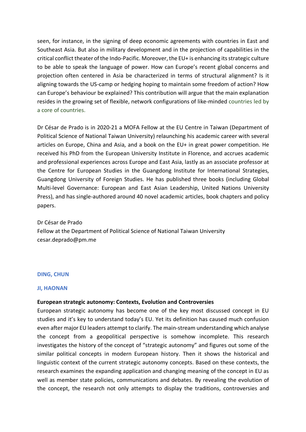seen, for instance, in the signing of deep economic agreements with countries in East and Southeast Asia. But also in military development and in the projection of capabilities in the critical conflict theater of the Indo-Pacific. Moreover, the EU+ is enhancing its strategic culture to be able to speak the language of power. How can Europe's recent global concerns and projection often centered in Asia be characterized in terms of structural alignment? Is it aligning towards the US-camp or hedging hoping to maintain some freedom of action? How can Europe's behaviour be explained? This contribution will argue that the main explanation resides in the growing set of flexible, network configurations of like-minded countries led by a core of countries.

Dr César de Prado is in 2020-21 a MOFA Fellow at the EU Centre in Taiwan (Department of Political Science of National Taiwan University) relaunching his academic career with several articles on Europe, China and Asia, and a book on the EU+ in great power competition. He received his PhD from the European University Institute in Florence, and accrues academic and professional experiences across Europe and East Asia, lastly as an associate professor at the Centre for European Studies in the Guangdong Institute for International Strategies, Guangdong University of Foreign Studies. He has published three books (including Global Multi-level Governance: European and East Asian Leadership, United Nations University Press), and has single-authored around 40 novel academic articles, book chapters and policy papers.

Dr César de Prado Fellow at the Department of Political Science of National Taiwan University cesar.deprado@pm.me

#### **DING, CHUN**

#### **JI, HAONAN**

#### **European strategic autonomy: Contexts, Evolution and Controversies**

European strategic autonomy has become one of the key most discussed concept in EU studies and it's key to understand today's EU. Yet its definition has caused much confusion even after major EU leaders attempt to clarify. The main-stream understanding which analyse the concept from a geopolitical perspective is somehow incomplete. This research investigates the history of the concept of "strategic autonomy" and figures out some of the similar political concepts in modern European history. Then it shows the historical and linguistic context of the current strategic autonomy concepts. Based on these contexts, the research examines the expanding application and changing meaning of the concept in EU as well as member state policies, communications and debates. By revealing the evolution of the concept, the research not only attempts to display the traditions, controversies and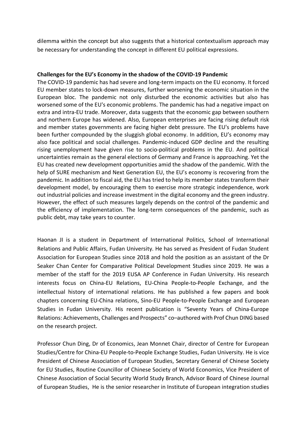dilemma within the concept but also suggests that a historical contextualism approach may be necessary for understanding the concept in different EU political expressions.

#### **Challenges for the EU's Economy in the shadow of the COVID-19 Pandemic**

The COVID-19 pandemic has had severe and long-term impacts on the EU economy. It forced EU member states to lock-down measures, further worsening the economic situation in the European bloc. The pandemic not only disturbed the economic activities but also has worsened some of the EU's economic problems. The pandemic has had a negative impact on extra and intra-EU trade. Moreover, data suggests that the economic gap between southern and northern Europe has widened. Also, European enterprises are facing rising default risk and member states governments are facing higher debt pressure. The EU's problems have been further compounded by the sluggish global economy. In addition, EU's economy may also face political and social challenges. Pandemic-induced GDP decline and the resulting rising unemployment have given rise to socio-political problems in the EU. And political uncertainties remain as the general elections of Germany and France is approaching. Yet the EU has created new development opportunities amid the shadow of the pandemic. With the help of SURE mechanism and Next Generation EU, the EU's economy is recovering from the pandemic. In addition to fiscal aid, the EU has tried to help its member states transform their development model, by encouraging them to exercise more strategic independence, work out industrial policies and increase investment in the digital economy and the green industry. However, the effect of such measures largely depends on the control of the pandemic and the efficiency of implementation. The long-term consequences of the pandemic, such as public debt, may take years to counter.

Haonan JI is a student in Department of International Politics, School of International Relations and Public Affairs, Fudan University. He has served as President of Fudan Student Association for European Studies since 2018 and hold the position as an assistant of the Dr Seaker Chan Center for Comparative Political Development Studies since 2019. He was a member of the staff for the 2019 EUSA AP Conference in Fudan University. His research interests focus on China-EU Relations, EU-China People-to-People Exchange, and the intellectual history of international relations. He has published a few papers and book chapters concerning EU-China relations, Sino-EU People-to-People Exchange and European Studies in Fudan University. His recent publication is "Seventy Years of China-Europe Relations: Achievements, Challenges and Prospects" co–authored with Prof Chun DING based on the research project.

Professor Chun Ding, Dr of Economics, Jean Monnet Chair, director of Centre for European Studies/Centre for China-EU People-to-People Exchange Studies, Fudan University. He is vice President of Chinese Association of European Studies, Secretary General of Chinese Society for EU Studies, Routine Councillor of Chinese Society of World Economics, Vice President of Chinese Association of Social Security World Study Branch, Advisor Board of Chinese Journal of European Studies, He is the senior researcher in Institute of European integration studies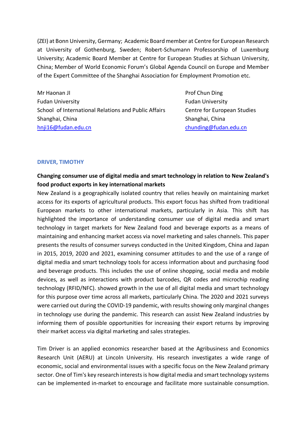(ZEI) at Bonn University, Germany; Academic Board member at Centre for European Research at University of Gothenburg, Sweden; Robert-Schumann Professorship of Luxemburg University; Academic Board Member at Centre for European Studies at Sichuan University, China; Member of World Economic Forum's Global Agenda Council on Europe and Member of the Expert Committee of the Shanghai Association for Employment Promotion etc.

Mr Haonan JI Prof Chun Ding Fudan University Fudan University School of International Relations and Public Affairs Centre for European Studies Shanghai, China Shanghai, China Shanghai, China Shanghai, China Shanghai, China Shanghai, China Shanghai, China hnji16@fudan.edu.cn chunding@fudan.edu.cn chunding@fudan.edu.cn

#### **DRIVER, TIMOTHY**

# **Changing consumer use of digital media and smart technology in relation to New Zealand's food product exports in key international markets**

New Zealand is a geographically isolated country that relies heavily on maintaining market access for its exports of agricultural products. This export focus has shifted from traditional European markets to other international markets, particularly in Asia. This shift has highlighted the importance of understanding consumer use of digital media and smart technology in target markets for New Zealand food and beverage exports as a means of maintaining and enhancing market access via novel marketing and sales channels. This paper presents the results of consumer surveys conducted in the United Kingdom, China and Japan in 2015, 2019, 2020 and 2021, examining consumer attitudes to and the use of a range of digital media and smart technology tools for access information about and purchasing food and beverage products. This includes the use of online shopping, social media and mobile devices, as well as interactions with product barcodes, QR codes and microchip reading technology (RFID/NFC). showed growth in the use of all digital media and smart technology for this purpose over time across all markets, particularly China. The 2020 and 2021 surveys were carried out during the COVID-19 pandemic, with results showing only marginal changes in technology use during the pandemic. This research can assist New Zealand industries by informing them of possible opportunities for increasing their export returns by improving their market access via digital marketing and sales strategies.

Tim Driver is an applied economics researcher based at the Agribusiness and Economics Research Unit (AERU) at Lincoln University. His research investigates a wide range of economic, social and environmental issues with a specific focus on the New Zealand primary sector. One of Tim's key research interests is how digital media and smart technology systems can be implemented in-market to encourage and facilitate more sustainable consumption.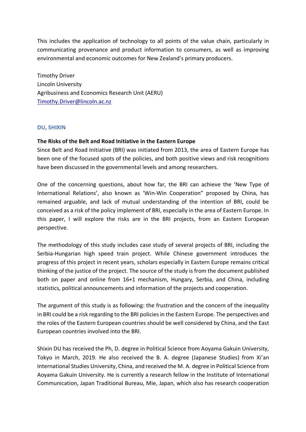This includes the application of technology to all points of the value chain, particularly in communicating provenance and product information to consumers, as well as improving environmental and economic outcomes for New Zealand's primary producers.

Timothy Driver Lincoln University Agribusiness and Economics Research Unit (AERU) Timothy.Driver@lincoln.ac.nz

#### **DU, SHIXIN**

#### **The Risks of the Belt and Road Initiative in the Eastern Europe**

Since Belt and Road Initiative (BRI) was initiated from 2013, the area of Eastern Europe has been one of the focused spots of the policies, and both positive views and risk recognitions have been discussed in the governmental levels and among researchers.

One of the concerning questions, about how far, the BRI can achieve the 'New Type of International Relations', also known as 'Win-Win Cooperation" proposed by China, has remained arguable, and lack of mutual understanding of the intention of BRI, could be conceived as a risk of the policy implement of BRI, especially in the area of Eastern Europe. In this paper, I will explore the risks are in the BRI projects, from an Eastern European perspective.

The methodology of this study includes case study of several projects of BRI, including the Serbia-Hungarian high speed train project. While Chinese government introduces the progress of this project in recent years, scholars especially in Eastern Europe remains critical thinking of the justice of the project. The source of the study is from the document published both on paper and online from 16+1 mechanism, Hungary, Serbia, and China, including statistics, political announcements and information of the projects and cooperation.

The argument of this study is as following: the frustration and the concern of the inequality in BRI could be a risk regarding to the BRI policies in the Eastern Europe. The perspectives and the roles of the Eastern European countries should be well considered by China, and the East European countries involved into the BRI.

Shixin DU has received the Ph, D. degree in Political Science from Aoyama Gakuin University, Tokyo in March, 2019. He also received the B. A. degree (Japanese Studies) from Xi'an International Studies University, China, and received the M. A. degree in Political Science from Aoyama Gakuin University. He is currently a research fellow in the Institute of International Communication, Japan Traditional Bureau, Mie, Japan, which also has research cooperation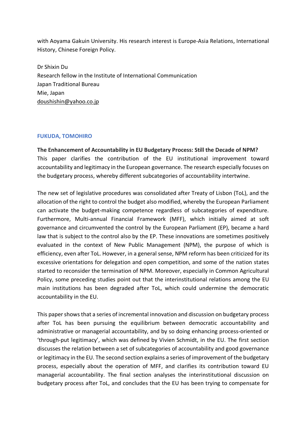with Aoyama Gakuin University. His research interest is Europe-Asia Relations, International History, Chinese Foreign Policy.

Dr Shixin Du Research fellow in the Institute of International Communication Japan Traditional Bureau Mie, Japan doushishin@yahoo.co.jp

#### **FUKUDA, TOMOHIRO**

**The Enhancement of Accountability in EU Budgetary Process: Still the Decade of NPM?** This paper clarifies the contribution of the EU institutional improvement toward accountability and legitimacy in the European governance. The research especially focuses on the budgetary process, whereby different subcategories of accountability intertwine.

The new set of legislative procedures was consolidated after Treaty of Lisbon (ToL), and the allocation of the right to control the budget also modified, whereby the European Parliament can activate the budget-making competence regardless of subcategories of expenditure. Furthermore, Multi-annual Financial Framework (MFF), which initially aimed at soft governance and circumvented the control by the European Parliament (EP), became a hard law that is subject to the control also by the EP. These innovations are sometimes positively evaluated in the context of New Public Management (NPM), the purpose of which is efficiency, even after ToL. However, in a general sense, NPM reform has been criticized for its excessive orientations for delegation and open competition, and some of the nation states started to reconsider the termination of NPM. Moreover, especially in Common Agricultural Policy, some preceding studies point out that the interinstitutional relations among the EU main institutions has been degraded after ToL, which could undermine the democratic accountability in the EU.

This paper shows that a series of incremental innovation and discussion on budgetary process after ToL has been pursuing the equilibrium between democratic accountability and administrative or managerial accountability, and by so doing enhancing process-oriented or 'through-put legitimacy', which was defined by Vivien Schmidt, in the EU. The first section discusses the relation between a set of subcategories of accountability and good governance or legitimacy in the EU. The second section explains a series of improvement of the budgetary process, especially about the operation of MFF, and clarifies its contribution toward EU managerial accountability. The final section analyses the interinstitutional discussion on budgetary process after ToL, and concludes that the EU has been trying to compensate for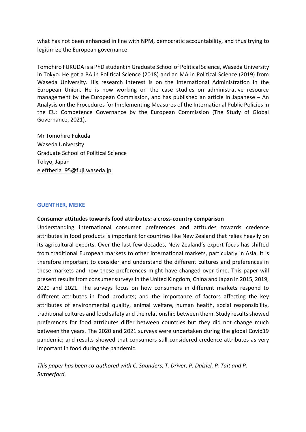what has not been enhanced in line with NPM, democratic accountability, and thus trying to legitimize the European governance.

Tomohiro FUKUDA is a PhD student in Graduate School of Political Science, Waseda University in Tokyo. He got a BA in Political Science (2018) and an MA in Political Science (2019) from Waseda University. His research interest is on the International Administration in the European Union. He is now working on the case studies on administrative resource management by the European Commission, and has published an article in Japanese – An Analysis on the Procedures for Implementing Measures of the International Public Policies in the EU: Competence Governance by the European Commission (The Study of Global Governance, 2021).

Mr Tomohiro Fukuda Waseda University Graduate School of Political Science Tokyo, Japan eleftheria\_95@fuji.waseda.jp

#### **GUENTHER, MEIKE**

#### **Consumer attitudes towards food attributes: a cross-country comparison**

Understanding international consumer preferences and attitudes towards credence attributes in food products is important for countries like New Zealand that relies heavily on its agricultural exports. Over the last few decades, New Zealand's export focus has shifted from traditional European markets to other international markets, particularly in Asia. It is therefore important to consider and understand the different cultures and preferences in these markets and how these preferences might have changed over time. This paper will present results from consumer surveys in the United Kingdom, China and Japan in 2015, 2019, 2020 and 2021. The surveys focus on how consumers in different markets respond to different attributes in food products; and the importance of factors affecting the key attributes of environmental quality, animal welfare, human health, social responsibility, traditional cultures and food safety and the relationship between them. Study results showed preferences for food attributes differ between countries but they did not change much between the years. The 2020 and 2021 surveys were undertaken during the global Covid19 pandemic; and results showed that consumers still considered credence attributes as very important in food during the pandemic.

*This paper has been co-authored with C. Saunders, T. Driver, P. Dalziel, P. Tait and P. Rutherford.*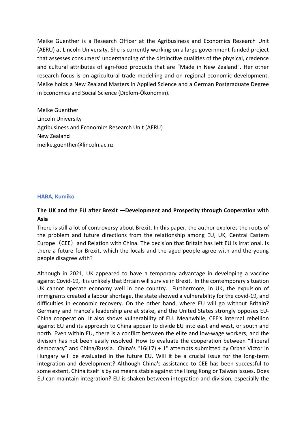Meike Guenther is a Research Officer at the Agribusiness and Economics Research Unit (AERU) at Lincoln University. She is currently working on a large government-funded project that assesses consumers' understanding of the distinctive qualities of the physical, credence and cultural attributes of agri-food products that are "Made in New Zealand". Her other research focus is on agricultural trade modelling and on regional economic development. Meike holds a New Zealand Masters in Applied Science and a German Postgraduate Degree in Economics and Social Science (Diplom-Őkonomin).

Meike Guenther Lincoln University Agribusiness and Economics Research Unit (AERU) New Zealand meike.guenther@lincoln.ac.nz

#### **HABA, Kumiko**

# **The UK and the EU after Brexit ―Development and Prosperity through Cooperation with Asia**

There is still a lot of controversy about Brexit. In this paper, the author explores the roots of the problem and future directions from the relationship among EU, UK, Central Eastern Europe (CEE) and Relation with China. The decision that Britain has left EU is irrational. Is there a future for Brexit, which the locals and the aged people agree with and the young people disagree with?

Although in 2021, UK appeared to have a temporary advantage in developing a vaccine against Covid-19, it is unlikely that Britain will survive in Brexit. In the contemporary situation UK cannot operate economy well in one country. Furthermore, in UK, the expulsion of immigrants created a labour shortage, the state showed a vulnerability for the covid-19, and difficulties in economic recovery. On the other hand, where EU will go without Britain? Germany and France's leadership are at stake, and the United States strongly opposes EU-China cooperation. It also shows vulnerability of EU. Meanwhile, CEE's internal rebellion against EU and its approach to China appear to divide EU into east and west, or south and north. Even within EU, there is a conflict between the elite and low-wage workers, and the division has not been easily resolved. How to evaluate the cooperation between "Illiberal democracy" and China/Russia. China's "16(17) + 1" attempts submitted by Orban Victor in Hungary will be evaluated in the future EU. Will it be a crucial issue for the long-term integration and development? Although China's assistance to CEE has been successful to some extent, China itself is by no means stable against the Hong Kong or Taiwan issues. Does EU can maintain integration? EU is shaken between integration and division, especially the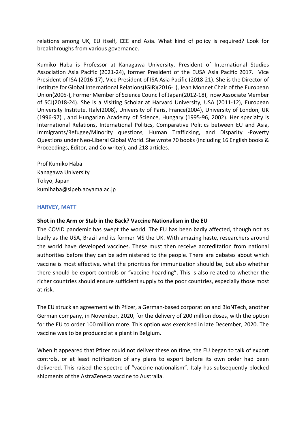relations among UK, EU itself, CEE and Asia. What kind of policy is required? Look for breakthroughs from various governance.

Kumiko Haba is Professor at Kanagawa University, President of International Studies Association Asia Pacific (2021-24), former President of the EUSA Asia Pacific 2017. Vice President of ISA (2016-17), Vice President of ISA Asia Pacific (2018-21). She is the Director of Institute for Global International Relations(IGIR)(2016- ), Jean Monnet Chair of the European Union(2005-), Former Member of Science Council of Japan(2012-18), now Associate Member of SCJ(2018-24). She is a Visiting Scholar at Harvard University, USA (2011-12), European University Institute, Italy(2008), University of Paris, France(2004), University of London, UK (1996-97) , and Hungarian Academy of Science, Hungary (1995-96, 2002). Her specialty is International Relations, International Politics, Comparative Politics between EU and Asia, Immigrants/Refugee/Minority questions, Human Trafficking, and Disparity -Poverty Questions under Neo-Liberal Global World. She wrote 70 books (including 16 English books & Proceedings, Editor, and Co-writer), and 218 articles.

Prof Kumiko Haba Kanagawa University Tokyo, Japan kumihaba@sipeb.aoyama.ac.jp

#### **HARVEY, MATT**

#### **Shot in the Arm or Stab in the Back? Vaccine Nationalism in the EU**

The COVID pandemic has swept the world. The EU has been badly affected, though not as badly as the USA, Brazil and its former MS the UK. With amazing haste, researchers around the world have developed vaccines. These must then receive accreditation from national authorities before they can be administered to the people. There are debates about which vaccine is most effective, what the priorities for immunization should be, but also whether there should be export controls or "vaccine hoarding". This is also related to whether the richer countries should ensure sufficient supply to the poor countries, especially those most at risk.

The EU struck an agreement with Pfizer, a German-based corporation and BioNTech, another German company, in November, 2020, for the delivery of 200 million doses, with the option for the EU to order 100 million more. This option was exercised in late December, 2020. The vaccine was to be produced at a plant in Belgium.

When it appeared that Pfizer could not deliver these on time, the EU began to talk of export controls, or at least notification of any plans to export before its own order had been delivered. This raised the spectre of "vaccine nationalism". Italy has subsequently blocked shipments of the AstraZeneca vaccine to Australia.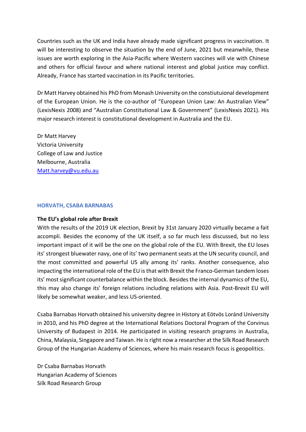Countries such as the UK and India have already made significant progress in vaccination. It will be interesting to observe the situation by the end of June, 2021 but meanwhile, these issues are worth exploring in the Asia-Pacific where Western vaccines will vie with Chinese and others for official favour and where national interest and global justice may conflict. Already, France has started vaccination in its Pacific territories.

Dr Matt Harvey obtained his PhD from Monash University on the constiutuional development of the European Union. He is the co-author of "European Union Law: An Australian View" (LexisNexis 2008) and "Australian Constitutional Law & Government" (LexisNexis 2021). His major research interest is constitutional development in Australia and the EU.

Dr Matt Harvey Victoria University College of Law and Justice Melbourne, Australia Matt.harvey@vu.edu.au

#### **HORVATH, CSABA BARNABAS**

#### **The EU's global role after Brexit**

With the results of the 2019 UK election, Brexit by 31st January 2020 virtually became a fait accompli. Besides the economy of the UK itself, a so far much less discussed, but no less important impact of it will be the one on the global role of the EU. With Brexit, the EU loses its' strongest bluewater navy, one of its' two permanent seats at the UN security council, and the most committed and powerful US ally among its' ranks. Another consequence, also impacting the international role of the EU is that with Brexit the Franco-German tandem loses its' most significant counterbalance within the block. Besides the internal dynamics of the EU, this may also change its' foreign relations including relations with Asia. Post-Brexit EU will likely be somewhat weaker, and less US-oriented.

Csaba Barnabas Horvath obtained his university degree in History at Eötvös Loránd University in 2010, and his PhD degree at the International Relations Doctoral Program of the Corvinus University of Budapest in 2014. He participated in visiting research programs in Australia, China, Malaysia, Singapore and Taiwan. He is right now a researcher at the Silk Road Research Group of the Hungarian Academy of Sciences, where his main research focus is geopolitics.

Dr Csaba Barnabas Horvath Hungarian Academy of Sciences Silk Road Research Group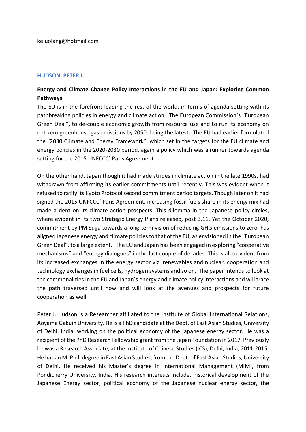keluolang@hotmail.com

#### **HUDSON, PETER J.**

# **Energy and Climate Change Policy Interactions in the EU and Japan: Exploring Common Pathways**

The EU is in the forefront leading the rest of the world, in terms of agenda setting with its pathbreaking policies in energy and climate action. The European Commission`s "European Green Deal", to de-couple economic growth from resource use and to run its economy on net-zero greenhouse gas emissions by 2050, being the latest. The EU had earlier formulated the "2030 Climate and Energy Framework", which set in the targets for the EU climate and energy policies in the 2020-2030 period, again a policy which was a runner towards agenda setting for the 2015 UNFCCC` Paris Agreement.

On the other hand, Japan though it had made strides in climate action in the late 1990s, had withdrawn from affirming its earlier commitments until recently. This was evident when it refused to ratify its Kyoto Protocol second commitment period targets. Though later on it had signed the 2015 UNFCCC' Paris Agreement, increasing fossil fuels share in its energy mix had made a dent on its climate action prospects. This dilemma in the Japanese policy circles, where evident in its two Strategic Energy Plans released, post 3.11. Yet the October 2020, commitment by PM Suga towards a long-term vision of reducing GHG emissions to zero, has aligned Japanese energy and climate policies to that of the EU, as envisioned in the "European Green Deal", to a large extent. The EU and Japan has been engaged in exploring "cooperative mechanisms" and "energy dialogues" in the last couple of decades. This is also evident from its increased exchanges in the energy sector viz. renewables and nuclear, cooperation and technology exchanges in fuel cells, hydrogen systems and so on. The paper intends to look at the commonalities in the EU and Japan`s energy and climate policy interactions and will trace the path traversed until now and will look at the avenues and prospects for future cooperation as well.

Peter J. Hudson is a Researcher affiliated to the Institute of Global International Relations, Aoyama Gakuin University. He is a PhD candidate at the Dept. of East Asian Studies, University of Delhi, India; working on the political economy of the Japanese energy sector. He was a recipient of the PhD Research Fellowship grant from the Japan Foundation in 2017. Previously he was a Research Associate, at the Institute of Chinese Studies (ICS), Delhi, India, 2011-2015. He has an M. Phil. degree in East Asian Studies, from the Dept. of East Asian Studies, University of Delhi. He received his Master's degree in International Management (MIM), from Pondicherry University, India. His research interests include, historical development of the Japanese Energy sector, political economy of the Japanese nuclear energy sector, the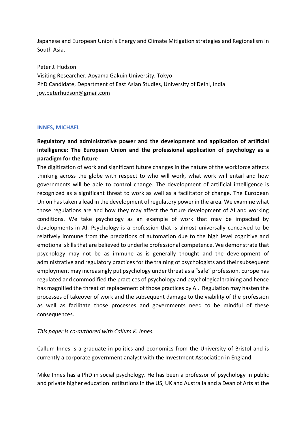Japanese and European Union`s Energy and Climate Mitigation strategies and Regionalism in South Asia.

Peter J. Hudson Visiting Researcher, Aoyama Gakuin University, Tokyo PhD Candidate, Department of East Asian Studies, University of Delhi, India joy.peterhudson@gmail.com

#### **INNES, MICHAEL**

# **Regulatory and administrative power and the development and application of artificial intelligence: The European Union and the professional application of psychology as a paradigm for the future**

The digitization of work and significant future changes in the nature of the workforce affects thinking across the globe with respect to who will work, what work will entail and how governments will be able to control change. The development of artificial intelligence is recognized as a significant threat to work as well as a facilitator of change. The European Union has taken a lead in the development of regulatory power in the area. We examine what those regulations are and how they may affect the future development of AI and working conditions. We take psychology as an example of work that may be impacted by developments in AI. Psychology is a profession that is almost universally conceived to be relatively immune from the predations of automation due to the high level cognitive and emotional skills that are believed to underlie professional competence. We demonstrate that psychology may not be as immune as is generally thought and the development of administrative and regulatory practices for the training of psychologists and their subsequent employment may increasingly put psychology under threat as a "safe" profession. Europe has regulated and commodified the practices of psychology and psychological training and hence has magnified the threat of replacement of those practices by AI. Regulation may hasten the processes of takeover of work and the subsequent damage to the viability of the profession as well as facilitate those processes and governments need to be mindful of these consequences.

#### *This paper is co-authored with Callum K. Innes.*

Callum Innes is a graduate in politics and economics from the University of Bristol and is currently a corporate government analyst with the Investment Association in England.

Mike Innes has a PhD in social psychology. He has been a professor of psychology in public and private higher education institutions in the US, UK and Australia and a Dean of Arts at the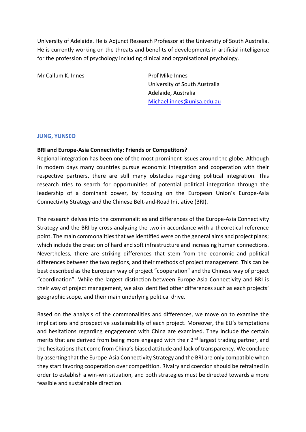University of Adelaide. He is Adjunct Research Professor at the University of South Australia. He is currently working on the threats and benefits of developments in artificial intelligence for the profession of psychology including clinical and organisational psychology.

Mr Callum K. Innes **Prof Mike Innes** 

University of South Australia Adelaide, Australia Michael.innes@unisa.edu.au

#### **JUNG, YUNSEO**

#### **BRI and Europe-Asia Connectivity: Friends or Competitors?**

Regional integration has been one of the most prominent issues around the globe. Although in modern days many countries pursue economic integration and cooperation with their respective partners, there are still many obstacles regarding political integration. This research tries to search for opportunities of potential political integration through the leadership of a dominant power, by focusing on the European Union's Europe-Asia Connectivity Strategy and the Chinese Belt-and-Road Initiative (BRI).

The research delves into the commonalities and differences of the Europe-Asia Connectivity Strategy and the BRI by cross-analyzing the two in accordance with a theoretical reference point. The main commonalities that we identified were on the general aims and project plans; which include the creation of hard and soft infrastructure and increasing human connections. Nevertheless, there are striking differences that stem from the economic and political differences between the two regions, and their methods of project management. This can be best described as the European way of project "cooperation" and the Chinese way of project "coordination". While the largest distinction between Europe-Asia Connectivity and BRI is their way of project management, we also identified other differences such as each projects' geographic scope, and their main underlying political drive.

Based on the analysis of the commonalities and differences, we move on to examine the implications and prospective sustainability of each project. Moreover, the EU's temptations and hesitations regarding engagement with China are examined. They include the certain merits that are derived from being more engaged with their 2<sup>nd</sup> largest trading partner, and the hesitations that come from China's biased attitude and lack of transparency. We conclude by asserting that the Europe-Asia Connectivity Strategy and the BRI are only compatible when they start favoring cooperation over competition. Rivalry and coercion should be refrained in order to establish a win-win situation, and both strategies must be directed towards a more feasible and sustainable direction.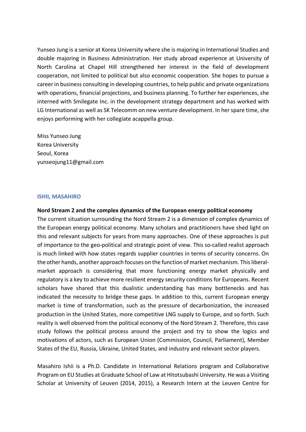Yunseo Jung is a senior at Korea University where she is majoring in International Studies and double majoring in Business Administration. Her study abroad experience at University of North Carolina at Chapel Hill strengthened her interest in the field of development cooperation, not limited to political but also economic cooperation. She hopes to pursue a career in business consulting in developing countries, to help public and private organizations with operations, financial projections, and business planning. To further her experiences, she interned with Smilegate Inc. in the development strategy department and has worked with LG International as well as SK Telecomm on new venture development. In her spare time, she enjoys performing with her collegiate acappella group.

Miss Yunseo Jung Korea University Seoul, Korea yunseojung11@gmail.com

#### **ISHII, MASAHIRO**

#### **Nord Stream 2 and the complex dynamics of the European energy political economy**

The current situation surrounding the Nord Stream 2 is a dimension of complex dynamics of the European energy political economy. Many scholars and practitioners have shed light on this and relevant subjects for years from many approaches. One of these approaches is put of importance to the geo-political and strategic point of view. This so-called realist approach is much linked with how states regards supplier countries in terms of security concerns. On the other hands, another approach focuses on the function of market mechanism. This liberalmarket approach is considering that more functioning energy market physically and regulatory is a key to achieve more resilient energy security conditions for Europeans. Recent scholars have shared that this dualistic understanding has many bottlenecks and has indicated the necessity to bridge these gaps. In addition to this, current European energy market is time of transformation, such as the pressure of decarbonization, the increased production in the United States, more competitive LNG supply to Europe, and so forth. Such reality is well observed from the political economy of the Nord Stream 2. Therefore, this case study follows the political process around the project and try to show the logics and motivations of actors, such as European Union (Commission, Council, Parliament), Member States of the EU, Russia, Ukraine, United States, and industry and relevant sector players.

Masahiro Ishii is a Ph.D. Candidate in International Relations program and Collaborative Program on EU Studies at Graduate School of Law at Hitotsubashi University. He was a Visiting Scholar at University of Leuven (2014, 2015), a Research Intern at the Leuven Centre for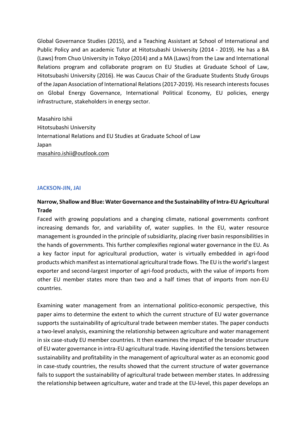Global Governance Studies (2015), and a Teaching Assistant at School of International and Public Policy and an academic Tutor at Hitotsubashi University (2014 - 2019). He has a BA (Laws) from Chuo University in Tokyo (2014) and a MA (Laws) from the Law and International Relations program and collaborate program on EU Studies at Graduate School of Law, Hitotsubashi University (2016). He was Caucus Chair of the Graduate Students Study Groups of the Japan Association of International Relations (2017-2019). His research interests focuses on Global Energy Governance, International Political Economy, EU policies, energy infrastructure, stakeholders in energy sector.

Masahiro Ishii Hitotsubashi University International Relations and EU Studies at Graduate School of Law Japan masahiro.ishii@outlook.com

#### **JACKSON-JIN, JAI**

# **Narrow, Shallow and Blue: Water Governance and the Sustainability of Intra-EU Agricultural Trade**

Faced with growing populations and a changing climate, national governments confront increasing demands for, and variability of, water supplies. In the EU, water resource management is grounded in the principle of subsidiarity, placing river basin responsibilities in the hands of governments. This further complexifies regional water governance in the EU. As a key factor input for agricultural production, water is virtually embedded in agri-food products which manifest as international agricultural trade flows. The EU is the world's largest exporter and second-largest importer of agri-food products, with the value of imports from other EU member states more than two and a half times that of imports from non-EU countries.

Examining water management from an international politico-economic perspective, this paper aims to determine the extent to which the current structure of EU water governance supports the sustainability of agricultural trade between member states. The paper conducts a two-level analysis, examining the relationship between agriculture and water management in six case-study EU member countries. It then examines the impact of the broader structure of EU water governance in intra-EU agricultural trade. Having identified the tensions between sustainability and profitability in the management of agricultural water as an economic good in case-study countries, the results showed that the current structure of water governance fails to support the sustainability of agricultural trade between member states. In addressing the relationship between agriculture, water and trade at the EU-level, this paper develops an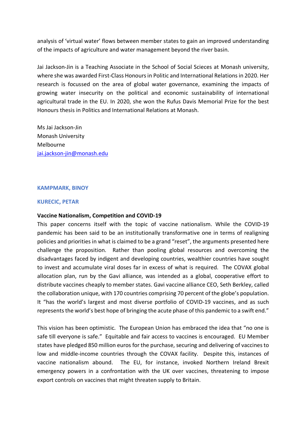analysis of 'virtual water' flows between member states to gain an improved understanding of the impacts of agriculture and water management beyond the river basin.

Jai Jackson-Jin is a Teaching Associate in the School of Social Scieces at Monash university, where she was awarded First-Class Honours in Politic and International Relations in 2020. Her research is focussed on the area of global water governance, examining the impacts of growing water insecurity on the political and economic sustainability of international agricultural trade in the EU. In 2020, she won the Rufus Davis Memorial Prize for the best Honours thesis in Politics and International Relations at Monash.

Ms Jai Jackson-Jin Monash University Melbourne jai.jackson-jin@monash.edu

#### **KAMPMARK, BINOY**

#### **KURECIC, PETAR**

#### **Vaccine Nationalism, Competition and COVID-19**

This paper concerns itself with the topic of vaccine nationalism. While the COVID-19 pandemic has been said to be an institutionally transformative one in terms of realigning policies and priorities in what is claimed to be a grand "reset", the arguments presented here challenge the proposition. Rather than pooling global resources and overcoming the disadvantages faced by indigent and developing countries, wealthier countries have sought to invest and accumulate viral doses far in excess of what is required. The COVAX global allocation plan, run by the Gavi alliance, was intended as a global, cooperative effort to distribute vaccines cheaply to member states. Gavi vaccine alliance CEO, Seth Berkley, called the collaboration unique, with 170 countries comprising 70 percent of the globe's population. It "has the world's largest and most diverse portfolio of COVID-19 vaccines, and as such represents the world's best hope of bringing the acute phase of this pandemic to a swift end."

This vision has been optimistic. The European Union has embraced the idea that "no one is safe till everyone is safe." Equitable and fair access to vaccines is encouraged. EU Member states have pledged 850 million euros for the purchase, securing and delivering of vaccines to low and middle-income countries through the COVAX facility. Despite this, instances of vaccine nationalism abound. The EU, for instance, invoked Northern Ireland Brexit emergency powers in a confrontation with the UK over vaccines, threatening to impose export controls on vaccines that might threaten supply to Britain.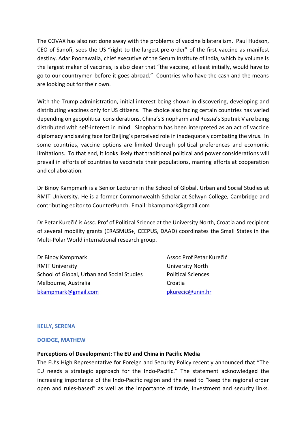The COVAX has also not done away with the problems of vaccine bilateralism. Paul Hudson, CEO of Sanofi, sees the US "right to the largest pre-order" of the first vaccine as manifest destiny. Adar Poonawalla, chief executive of the Serum Institute of India, which by volume is the largest maker of vaccines, is also clear that "the vaccine, at least initially, would have to go to our countrymen before it goes abroad." Countries who have the cash and the means are looking out for their own.

With the Trump administration, initial interest being shown in discovering, developing and distributing vaccines only for US citizens. The choice also facing certain countries has varied depending on geopolitical considerations. China's Sinopharm and Russia's Sputnik V are being distributed with self-interest in mind. Sinopharm has been interpreted as an act of vaccine diplomacy and saving face for Beijing's perceived role in inadequately combating the virus. In some countries, vaccine options are limited through political preferences and economic limitations. To that end, it looks likely that traditional political and power considerations will prevail in efforts of countries to vaccinate their populations, marring efforts at cooperation and collaboration.

Dr Binoy Kampmark is a Senior Lecturer in the School of Global, Urban and Social Studies at RMIT University. He is a former Commonwealth Scholar at Selwyn College, Cambridge and contributing editor to CounterPunch. Email: bkampmark@gmail.com

Dr Petar Kurečić is Assc. Prof of Political Science at the University North, Croatia and recipient of several mobility grants (ERASMUS+, CEEPUS, DAAD) coordinates the Small States in the Multi-Polar World international research group.

Dr Binoy Kampmark Assoc Prof Petar Kurečić RMIT University **No. 2018 University North** School of Global, Urban and Social Studies Political Sciences Melbourne, Australia Croatia bkampmark@gmail.com pkurecic@unin.hr

#### **KELLY, SERENA**

#### **DOIDGE, MATHEW**

#### **Perceptions of Development: The EU and China in Pacific Media**

The EU's High Representative for Foreign and Security Policy recently announced that "The EU needs a strategic approach for the Indo-Pacific." The statement acknowledged the increasing importance of the Indo-Pacific region and the need to "keep the regional order open and rules-based" as well as the importance of trade, investment and security links.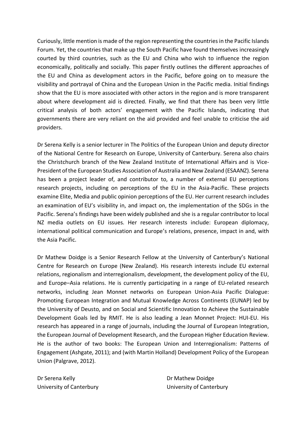Curiously, little mention is made of the region representing the countries in the Pacific Islands Forum. Yet, the countries that make up the South Pacific have found themselves increasingly courted by third countries, such as the EU and China who wish to influence the region economically, politically and socially. This paper firstly outlines the different approaches of the EU and China as development actors in the Pacific, before going on to measure the visibility and portrayal of China and the European Union in the Pacific media. Initial findings show that the EU is more associated with other actors in the region and is more transparent about where development aid is directed. Finally, we find that there has been very little critical analysis of both actors' engagement with the Pacific Islands, indicating that governments there are very reliant on the aid provided and feel unable to criticise the aid providers.

Dr Serena Kelly is a senior lecturer in The Politics of the European Union and deputy director of the National Centre for Research on Europe, University of Canterbury. Serena also chairs the Christchurch branch of the New Zealand Institute of International Affairs and is Vice-President of the European Studies Association of Australia and New Zealand (ESAANZ). Serena has been a project leader of, and contributor to, a number of external EU perceptions research projects, including on perceptions of the EU in the Asia-Pacific. These projects examine Elite, Media and public opinion perceptions of the EU. Her current research includes an examination of EU's visibility in, and impact on, the implementation of the SDGs in the Pacific. Serena's findings have been widely published and she is a regular contributor to local NZ media outlets on EU issues. Her research interests include: European diplomacy, international political communication and Europe's relations, presence, impact in and, with the Asia Pacific.

Dr Mathew Doidge is a Senior Research Fellow at the University of Canterbury's National Centre for Research on Europe (New Zealand). His research interests include EU external relations, regionalism and interregionalism, development, the development policy of the EU, and Europe–Asia relations. He is currently participating in a range of EU-related research networks, including Jean Monnet networks on European Union-Asia Pacific Dialogue: Promoting European Integration and Mutual Knowledge Across Continents (EUNAP) led by the University of Deusto, and on Social and Scientific Innovation to Achieve the Sustainable Development Goals led by RMIT. He is also leading a Jean Monnet Project: HUI-EU. His research has appeared in a range of journals, including the Journal of European Integration, the European Journal of Development Research, and the European Higher Education Review. He is the author of two books: The European Union and Interregionalism: Patterns of Engagement (Ashgate, 2011); and (with Martin Holland) Development Policy of the European Union (Palgrave, 2012).

Dr Serena Kelly **Dr Mathew Doidge** 

University of Canterbury University of Canterbury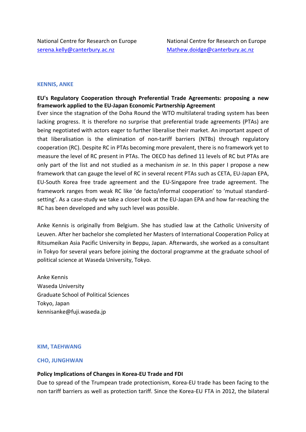#### **KENNIS, ANKE**

# **EU's Regulatory Cooperation through Preferential Trade Agreements: proposing a new framework applied to the EU-Japan Economic Partnership Agreement**

Ever since the stagnation of the Doha Round the WTO multilateral trading system has been lacking progress. It is therefore no surprise that preferential trade agreements (PTAs) are being negotiated with actors eager to further liberalise their market. An important aspect of that liberalisation is the elimination of non-tariff barriers (NTBs) through regulatory cooperation (RC). Despite RC in PTAs becoming more prevalent, there is no framework yet to measure the level of RC present in PTAs. The OECD has defined 11 levels of RC but PTAs are only part of the list and not studied as a mechanism *in se*. In this paper I propose a new framework that can gauge the level of RC in several recent PTAs such as CETA, EU-Japan EPA, EU-South Korea free trade agreement and the EU-Singapore free trade agreement. The framework ranges from weak RC like 'de facto/informal cooperation' to 'mutual standardsetting'. As a case-study we take a closer look at the EU-Japan EPA and how far-reaching the RC has been developed and why such level was possible.

Anke Kennis is originally from Belgium. She has studied law at the Catholic University of Leuven. After her bachelor she completed her Masters of International Cooperation Policy at Ritsumeikan Asia Pacific University in Beppu, Japan. Afterwards, she worked as a consultant in Tokyo for several years before joining the doctoral programme at the graduate school of political science at Waseda University, Tokyo.

Anke Kennis Waseda University Graduate School of Political Sciences Tokyo, Japan kennisanke@fuji.waseda.jp

#### **KIM, TAEHWANG**

#### **CHO, JUNGHWAN**

#### **Policy Implications of Changes in Korea-EU Trade and FDI**

Due to spread of the Trumpean trade protectionism, Korea-EU trade has been facing to the non tariff barriers as well as protection tariff. Since the Korea-EU FTA in 2012, the bilateral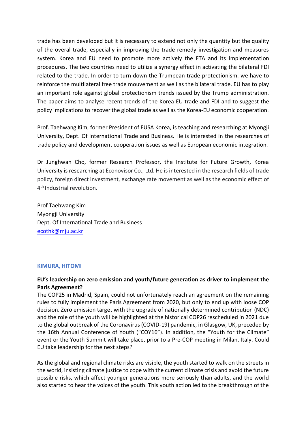trade has been developed but it is necessary to extend not only the quantity but the quality of the overal trade, especially in improving the trade remedy investigation and measures system. Korea and EU need to promote more actively the FTA and its implementation procedures. The two countries need to utilize a synergy effect in activating the bilateral FDI related to the trade. In order to turn down the Trumpean trade protectionism, we have to reinforce the multilateral free trade mouvement as well as the bilateral trade. EU has to play an important role against global protectionism trends issued by the Trump administration. The paper aims to analyse recent trends of the Korea-EU trade and FDI and to suggest the policy implications to recover the global trade as well as the Korea-EU economic cooperation.

Prof. Taehwang Kim, former President of EUSA Korea, is teaching and researching at Myongji University, Dept. Of International Trade and Business. He is interested in the researches of trade policy and development cooperation issues as well as European economic integration.

Dr Junghwan Cho, former Research Professor, the Institute for Future Growth, Korea University is researching at Econovisor Co., Ltd. He is interested in the research fields of trade policy, foreign direct investment, exchange rate movement as well as the economic effect of 4<sup>th</sup> Industrial revolution.

Prof Taehwang Kim Myongji University Dept. Of International Trade and Business ecothk@mju.ac.kr

## **KIMURA, HITOMI**

# **EU's leadership on zero emission and youth/future generation as driver to implement the Paris Agreement?**

The COP25 in Madrid, Spain, could not unfortunately reach an agreement on the remaining rules to fully implement the Paris Agreement from 2020, but only to end up with loose COP decision. Zero emission target with the upgrade of nationally determined contribution (NDC) and the role of the youth will be highlighted at the historical COP26 rescheduled in 2021 due to the global outbreak of the Coronavirus (COVID-19) pandemic, in Glasgow, UK, preceded by the 16th Annual Conference of Youth ("COY16"). In addition, the "Youth for the Climate" event or the Youth Summit will take place, prior to a Pre-COP meeting in Milan, Italy. Could EU take leadership for the next steps?

As the global and regional climate risks are visible, the youth started to walk on the streets in the world, insisting climate justice to cope with the current climate crisis and avoid the future possible risks, which affect younger generations more seriously than adults, and the world also started to hear the voices of the youth. This youth action led to the breakthrough of the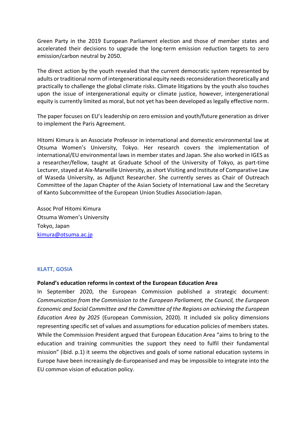Green Party in the 2019 European Parliament election and those of member states and accelerated their decisions to upgrade the long-term emission reduction targets to zero emission/carbon neutral by 2050.

The direct action by the youth revealed that the current democratic system represented by adults or traditional norm of intergenerational equity needs reconsideration theoretically and practically to challenge the global climate risks. Climate litigations by the youth also touches upon the issue of intergenerational equity or climate justice, however, intergenerational equity is currently limited as moral, but not yet has been developed as legally effective norm.

The paper focuses on EU's leadership on zero emission and youth/future generation as driver to implement the Paris Agreement.

Hitomi Kimura is an Associate Professor in international and domestic environmental law at Otsuma Women's University, Tokyo. Her research covers the implementation of international/EU environmental laws in member states and Japan. She also worked in IGES as a researcher/fellow, taught at Graduate School of the University of Tokyo, as part-time Lecturer, stayed at Aix-Marseille University, as short Visiting and Institute of Comparative Law of Waseda University, as Adjunct Researcher. She currently serves as Chair of Outreach Committee of the Japan Chapter of the Asian Society of International Law and the Secretary of Kanto Subcommittee of the European Union Studies Association-Japan.

Assoc Prof Hitomi Kimura Otsuma Women's University Tokyo, Japan kimura@otsuma.ac.jp

### **KLATT, GOSIA**

## **Poland's education reforms in context of the European Education Area**

In September 2020, the European Commission published a strategic document: *Communication from the Commission to the European Parliament, the Council, the European Economic and Social Committee and the Committee of the Regions on achieving the European Education Area by 2025* (European Commission, 2020). It included six policy dimensions representing specific set of values and assumptions for education policies of members states. While the Commission President argued that European Education Area "aims to bring to the education and training communities the support they need to fulfil their fundamental mission" (ibid. p.1) it seems the objectives and goals of some national education systems in Europe have been increasingly de-Europeanised and may be impossible to integrate into the EU common vision of education policy.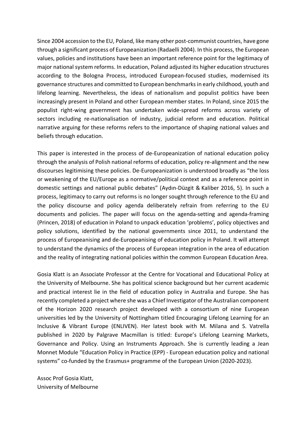Since 2004 accession to the EU, Poland, like many other post-communist countries, have gone through a significant process of Europeanization (Radaelli 2004). In this process, the European values, policies and institutions have been an important reference point for the legitimacy of major national system reforms. In education, Poland adjusted its higher education structures according to the Bologna Process, introduced European-focused studies, modernised its governance structures and committed to European benchmarks in early childhood, youth and lifelong learning. Nevertheless, the ideas of nationalism and populist politics have been increasingly present in Poland and other European member states. In Poland, since 2015 the populist right-wing government has undertaken wide-spread reforms across variety of sectors including re-nationalisation of industry, judicial reform and education. Political narrative arguing for these reforms refers to the importance of shaping national values and beliefs through education.

This paper is interested in the process of de-Europeanization of national education policy through the analysis of Polish national reforms of education, policy re-alignment and the new discourses legitimising these policies. De-Europeanization is understood broadly as "the loss or weakening of the EU/Europe as a normative/political context and as a reference point in domestic settings and national public debates" (Aydın-Düzgit & Kaliber 2016, 5). In such a process, legitimacy to carry out reforms is no longer sought through reference to the EU and the policy discourse and policy agenda deliberately refrain from referring to the EU documents and policies. The paper will focus on the agenda-setting and agenda-framing (Princen, 2018) of education in Poland to unpack education 'problems', policy objectives and policy solutions, identified by the national governments since 2011, to understand the process of Europeanising and de-Europeanising of education policy in Poland. It will attempt to understand the dynamics of the process of European integration in the area of education and the reality of integrating national policies within the common European Education Area.

Gosia Klatt is an Associate Professor at the Centre for Vocational and Educational Policy at the University of Melbourne. She has political science background but her current academic and practical interest lie in the field of education policy in Australia and Europe. She has recently completed a project where she was a Chief Investigator of the Australian component of the Horizon 2020 research project developed with a consortium of nine European universities led by the University of Nottingham titled Encouraging Lifelong Learning for an Inclusive & Vibrant Europe (ENLIVEN). Her latest book with M. Milana and S. Vatrella published in 2020 by Palgrave Macmillan is titled: Europe's Lifelong Learning Markets, Governance and Policy. Using an Instruments Approach. She is currently leading a Jean Monnet Module "Education Policy in Practice (EPP) - European education policy and national systems" co-funded by the Erasmus+ programme of the European Union (2020-2023).

Assoc Prof Gosia Klatt, University of Melbourne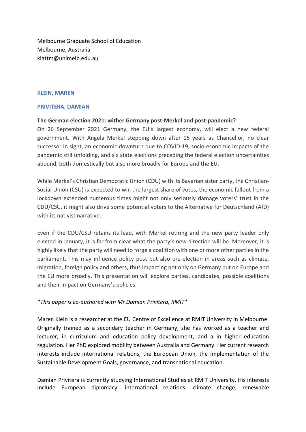Melbourne Graduate School of Education Melbourne, Australia klattm@unimelb.edu.au

## **KLEIN, MAREN**

## **PRIVITERA, DAMIAN**

## **The German election 2021: wither Germany post-Merkel and post-pandemic?**

On 26 September 2021 Germany, the EU's largest economy, will elect a new federal government. With Angela Merkel stepping down after 16 years as Chancellor, no clear successor in sight, an economic downturn due to COVID-19, socio-economic impacts of the pandemic still unfolding, and six state elections preceding the federal election uncertainties abound, both domestically but also more broadly for Europe and the EU.

While Merkel's Christian Democratic Union (CDU) with its Bavarian sister party, the Christian-Social Union (CSU) is expected to win the largest share of votes, the economic fallout from a lockdown extended numerous times might not only seriously damage voters' trust in the CDU/CSU, it might also drive some potential voters to the Alternative für Deutschland (AfD) with its nativist narrative.

Even if the CDU/CSU retains its lead, with Merkel retiring and the new party leader only elected in January, it is far from clear what the party's new direction will be. Moreover, it is highly likely that the party will need to forge a coalition with one or more other parties in the parliament. This may influence policy post but also pre-election in areas such as climate, migration, foreign policy and others, thus impacting not only on Germany but on Europe and the EU more broadly. This presentation will explore parties, candidates, possible coalitions and their impact on Germany's policies.

## *\*This paper is co-authored with Mr Damian Privitera, RMIT\**

Maren Klein is a researcher at the EU Centre of Excellence at RMIT University in Melbourne. Originally trained as a secondary teacher in Germany, she has worked as a teacher and lecturer, in curriculum and education policy development, and a in higher education regulation. Her PhD explored mobility between Australia and Germany. Her current research interests include international relations, the European Union, the implementation of the Sustainable Development Goals, governance, and transnational education.

Damian Privitera is currently studying International Studies at RMIT University. His interests include European diplomacy, international relations, climate change, renewable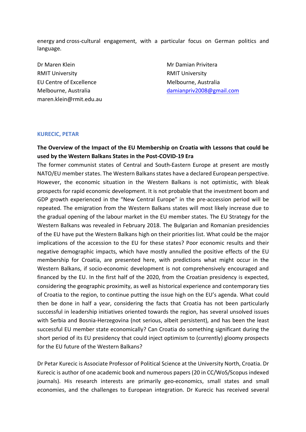energy and cross-cultural engagement, with a particular focus on German politics and language.

Dr Maren Klein Mr Damian Privitera RMIT University RMIT University EU Centre of Excellence Melbourne, Australia maren.klein@rmit.edu.au

Melbourne, Australia damianpriv2008@gmail.com

### **KURECIC, PETAR**

# **The Overview of the Impact of the EU Membership on Croatia with Lessons that could be used by the Western Balkans States in the Post-COVID-19 Era**

The former communist states of Central and South-Eastern Europe at present are mostly NATO/EU member states. The Western Balkans states have a declared European perspective. However, the economic situation in the Western Balkans is not optimistic, with bleak prospects for rapid economic development. It is not probable that the investment boom and GDP growth experienced in the "New Central Europe" in the pre-accession period will be repeated. The emigration from the Western Balkans states will most likely increase due to the gradual opening of the labour market in the EU member states. The EU Strategy for the Western Balkans was revealed in February 2018. The Bulgarian and Romanian presidencies of the EU have put the Western Balkans high on their priorities list. What could be the major implications of the accession to the EU for these states? Poor economic results and their negative demographic impacts, which have mostly annulled the positive effects of the EU membership for Croatia, are presented here, with predictions what might occur in the Western Balkans, if socio-economic development is not comprehensively encouraged and financed by the EU. In the first half of the 2020, from the Croatian presidency is expected, considering the geographic proximity, as well as historical experience and contemporary ties of Croatia to the region, to continue putting the issue high on the EU's agenda. What could then be done in half a year, considering the facts that Croatia has not been particularly successful in leadership initiatives oriented towards the region, has several unsolved issues with Serbia and Bosnia-Herzegovina (not serious, albeit persistent), and has been the least successful EU member state economically? Can Croatia do something significant during the short period of its EU presidency that could inject optimism to (currently) gloomy prospects for the EU future of the Western Balkans?

Dr Petar Kurecic is Associate Professor of Political Science at the University North, Croatia. Dr Kurecic is author of one academic book and numerous papers (20 in CC/WoS/Scopus indexed journals). His research interests are primarily geo-economics, small states and small economies, and the challenges to European integration. Dr Kurecic has received several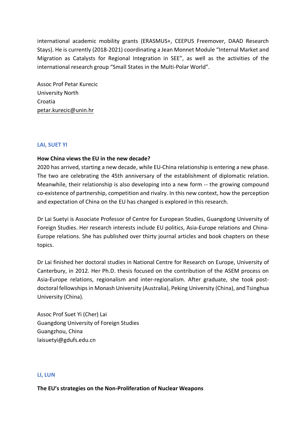international academic mobility grants (ERASMUS+, CEEPUS Freemover, DAAD Research Stays). He is currently (2018-2021) coordinating a Jean Monnet Module "Internal Market and Migration as Catalysts for Regional Integration in SEE", as well as the activities of the international research group "Small States in the Multi-Polar World".

Assoc Prof Petar Kurecic University North Croatia petar.kurecic@unin.hr

# **LAI, SUET YI**

## **How China views the EU in the new decade?**

2020 has arrived, starting a new decade, while EU-China relationship is entering a new phase. The two are celebrating the 45th anniversary of the establishment of diplomatic relation. Meanwhile, their relationship is also developing into a new form -- the growing compound co-existence of partnership, competition and rivalry. In this new context, how the perception and expectation of China on the EU has changed is explored in this research.

Dr Lai Suetyi is Associate Professor of Centre for European Studies, Guangdong University of Foreign Studies. Her research interests include EU politics, Asia-Europe relations and China-Europe relations. She has published over thirty journal articles and book chapters on these topics.

Dr Lai finished her doctoral studies in National Centre for Research on Europe, University of Canterbury, in 2012. Her Ph.D. thesis focused on the contribution of the ASEM process on Asia-Europe relations, regionalism and inter-regionalism. After graduate, she took postdoctoral fellowships in Monash University (Australia), Peking University (China), and Tsinghua University (China).

Assoc Prof Suet Yi (Cher) Lai Guangdong University of Foreign Studies Guangzhou, China laisuetyi@gdufs.edu.cn

## **LI, LUN**

### **The EU's strategies on the Non-Proliferation of Nuclear Weapons**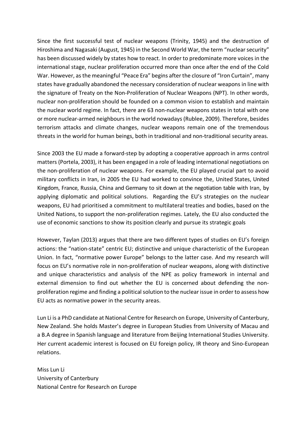Since the first successful test of nuclear weapons (Trinity, 1945) and the destruction of Hiroshima and Nagasaki (August, 1945) in the Second World War, the term "nuclear security" has been discussed widely by states how to react. In order to predominate more voices in the international stage, nuclear proliferation occurred more than once after the end of the Cold War. However, as the meaningful "Peace Era" begins after the closure of "Iron Curtain", many states have gradually abandoned the necessary consideration of nuclear weapons in line with the signature of Treaty on the Non-Proliferation of Nuclear Weapons (NPT). In other words, nuclear non-proliferation should be founded on a common vision to establish and maintain the nuclear world regime. In fact, there are 63 non-nuclear weapons states in total with one or more nuclear-armed neighbours in the world nowadays (Rublee, 2009). Therefore, besides terrorism attacks and climate changes, nuclear weapons remain one of the tremendous threats in the world for human beings, both in traditional and non-traditional security areas.

Since 2003 the EU made a forward-step by adopting a cooperative approach in arms control matters (Portela, 2003), it has been engaged in a role of leading international negotiations on the non-proliferation of nuclear weapons. For example, the EU played crucial part to avoid military conflicts in Iran, in 2005 the EU had worked to convince the, United States, United Kingdom, France, Russia, China and Germany to sit down at the negotiation table with Iran, by applying diplomatic and political solutions. Regarding the EU's strategies on the nuclear weapons, EU had prioritised a commitment to multilateral treaties and bodies, based on the United Nations, to support the non-proliferation regimes. Lately, the EU also conducted the use of economic sanctions to show its position clearly and pursue its strategic goals

However, Taylan (2013) argues that there are two different types of studies on EU's foreign actions: the "nation-state" centric EU; distinctive and unique characteristic of the European Union. In fact, "normative power Europe" belongs to the latter case. And my research will focus on EU's normative role in non-proliferation of nuclear weapons, along with distinctive and unique characteristics and analysis of the NPE as policy framework in internal and external dimension to find out whether the EU is concerned about defending the nonproliferation regime and finding a political solution to the nuclear issue in order to assess how EU acts as normative power in the security areas.

Lun Li is a PhD candidate at National Centre for Research on Europe, University of Canterbury, New Zealand. She holds Master's degree in European Studies from University of Macau and a B.A degree in Spanish language and literature from Beijing International Studies University. Her current academic interest is focused on EU foreign policy, IR theory and Sino-European relations.

Miss Lun Li University of Canterbury National Centre for Research on Europe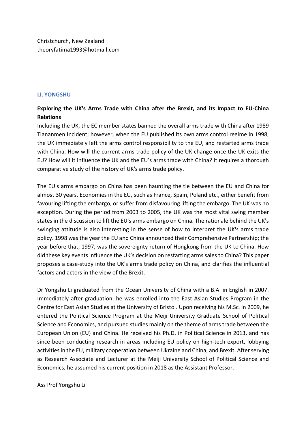# **LI, YONGSHU**

# **Exploring the UK's Arms Trade with China after the Brexit, and its Impact to EU-China Relations**

Including the UK, the EC member states banned the overall arms trade with China after 1989 Tiananmen Incident; however, when the EU published its own arms control regime in 1998, the UK immediately left the arms control responsibility to the EU, and restarted arms trade with China. How will the current arms trade policy of the UK change once the UK exits the EU? How will it influence the UK and the EU's arms trade with China? It requires a thorough comparative study of the history of UK's arms trade policy.

The EU's arms embargo on China has been haunting the tie between the EU and China for almost 30 years. Economies in the EU, such as France, Spain, Poland etc., either benefit from favouring lifting the embargo, or suffer from disfavouring lifting the embargo. The UK was no exception. During the period from 2003 to 2005, the UK was the most vital swing member states in the discussion to lift the EU's arms embargo on China. The rationale behind the UK's swinging attitude is also interesting in the sense of how to interpret the UK's arms trade policy. 1998 was the year the EU and China announced their Comprehensive Partnership; the year before that, 1997, was the sovereignty return of Hongkong from the UK to China. How did these key events influence the UK's decision on restarting arms sales to China? This paper proposes a case-study into the UK's arms trade policy on China, and clarifies the influential factors and actors in the view of the Brexit.

Dr Yongshu Li graduated from the Ocean University of China with a B.A. in English in 2007. Immediately after graduation, he was enrolled into the East Asian Studies Program in the Centre for East Asian Studies at the University of Bristol. Upon receiving his M.Sc. in 2009, he entered the Political Science Program at the Meiji University Graduate School of Political Science and Economics, and pursued studies mainly on the theme of arms trade between the European Union (EU) and China. He received his Ph.D. in Political Science in 2013, and has since been conducting research in areas including EU policy on high-tech export, lobbying activities in the EU, military cooperation between Ukraine and China, and Brexit. After serving as Research Associate and Lecturer at the Meiji University School of Political Science and Economics, he assumed his current position in 2018 as the Assistant Professor.

Ass Prof Yongshu Li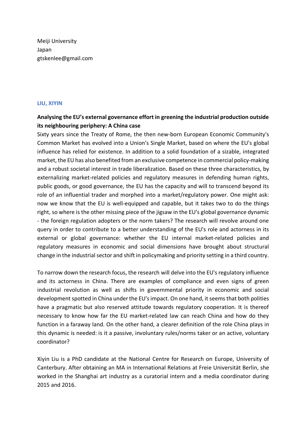Meiji University Japan gtskenlee@gmail.com

## **LIU, XIYIN**

# **Analysing the EU's external governance effort in greening the industrial production outside its neighbouring periphery: A China case**

Sixty years since the Treaty of Rome, the then new-born European Economic Community's Common Market has evolved into a Union's Single Market, based on where the EU's global influence has relied for existence. In addition to a solid foundation of a sizable, integrated market, the EU has also benefited from an exclusive competence in commercial policy-making and a robust societal interest in trade liberalization. Based on these three characteristics, by externalizing market-related policies and regulatory measures in defending human rights, public goods, or good governance, the EU has the capacity and will to transcend beyond its role of an influential trader and morphed into a market/regulatory power. One might ask: now we know that the EU is well-equipped and capable, but it takes two to do the things right, so where is the other missing piece of the jigsaw in the EU's global governance dynamic - the foreign regulation adopters or the norm takers? The research will revolve around one query in order to contribute to a better understanding of the EU's role and actorness in its external or global governance: whether the EU internal market-related policies and regulatory measures in economic and social dimensions have brought about structural change in the industrial sector and shift in policymaking and priority setting in a third country.

To narrow down the research focus, the research will delve into the EU's regulatory influence and its actorness in China. There are examples of compliance and even signs of green industrial revolution as well as shifts in governmental priority in economic and social development spotted in China under the EU's impact. On one hand, it seems that both polities have a pragmatic but also reserved attitude towards regulatory cooperation. It is thereof necessary to know how far the EU market-related law can reach China and how do they function in a faraway land. On the other hand, a clearer definition of the role China plays in this dynamic is needed: is it a passive, involuntary rules/norms taker or an active, voluntary coordinator?

Xiyin Liu is a PhD candidate at the National Centre for Research on Europe, University of Canterbury. After obtaining an MA in International Relations at Freie Universität Berlin, she worked in the Shanghai art industry as a curatorial intern and a media coordinator during 2015 and 2016.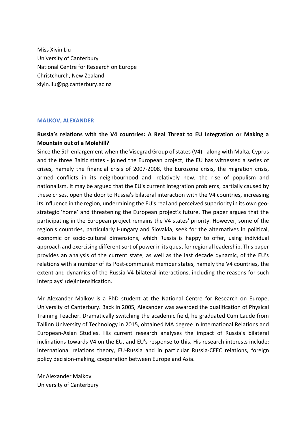Miss Xiyin Liu University of Canterbury National Centre for Research on Europe Christchurch, New Zealand xiyin.liu@pg.canterbury.ac.nz

### **MALKOV, ALEXANDER**

# **Russia's relations with the V4 countries: A Real Threat to EU Integration or Making a Mountain out of a Molehill?**

Since the 5th enlargement when the Visegrad Group of states (V4) - along with Malta, Cyprus and the three Baltic states - joined the European project, the EU has witnessed a series of crises, namely the financial crisis of 2007-2008, the Eurozone crisis, the migration crisis, armed conflicts in its neighbourhood and, relatively new, the rise of populism and nationalism. It may be argued that the EU's current integration problems, partially caused by these crises, open the door to Russia's bilateral interaction with the V4 countries, increasing its influence in the region, undermining the EU's real and perceived superiority in its own geostrategic 'home' and threatening the European project's future. The paper argues that the participating in the European project remains the V4 states' priority. However, some of the region's countries, particularly Hungary and Slovakia, seek for the alternatives in political, economic or socio-cultural dimensions, which Russia is happy to offer, using individual approach and exercising different sort of power in its quest for regional leadership. This paper provides an analysis of the current state, as well as the last decade dynamic, of the EU's relations with a number of its Post-communist member states, namely the V4 countries, the extent and dynamics of the Russia-V4 bilateral interactions, including the reasons for such interplays' (de)intensification.

Mr Alexander Malkov is a PhD student at the National Centre for Research on Europe, University of Canterbury. Back in 2005, Alexander was awarded the qualification of Physical Training Teacher. Dramatically switching the academic field, he graduated Cum Laude from Tallinn University of Technology in 2015, obtained MA degree in International Relations and European-Asian Studies. His current research analyses the impact of Russia's bilateral inclinations towards V4 on the EU, and EU's response to this. His research interests include: international relations theory, EU-Russia and in particular Russia-CEEC relations, foreign policy decision-making, cooperation between Europe and Asia.

Mr Alexander Malkov University of Canterbury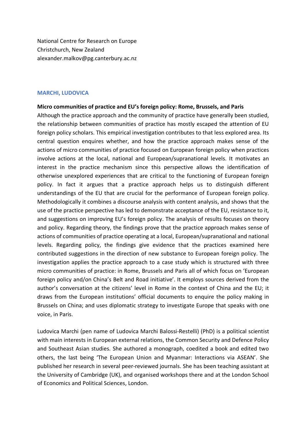National Centre for Research on Europe Christchurch, New Zealand alexander.malkov@pg.canterbury.ac.nz

### **MARCHI, LUDOVICA**

## **Micro communities of practice and EU's foreign policy: Rome, Brussels, and Paris**

Although the practice approach and the community of practice have generally been studied, the relationship between communities of practice has mostly escaped the attention of EU foreign policy scholars. This empirical investigation contributes to that less explored area. Its central question enquires whether, and how the practice approach makes sense of the actions of micro communities of practice focused on European foreign policy when practices involve actions at the local, national and European/supranational levels. It motivates an interest in the practice mechanism since this perspective allows the identification of otherwise unexplored experiences that are critical to the functioning of European foreign policy. In fact it argues that a practice approach helps us to distinguish different understandings of the EU that are crucial for the performance of European foreign policy. Methodologically it combines a discourse analysis with content analysis, and shows that the use of the practice perspective has led to demonstrate acceptance of the EU, resistance to it, and suggestions on improving EU's foreign policy. The analysis of results focuses on theory and policy. Regarding theory, the findings prove that the practice approach makes sense of actions of communities of practice operating at a local, European/supranational and national levels. Regarding policy, the findings give evidence that the practices examined here contributed suggestions in the direction of new substance to European foreign policy. The investigation applies the practice approach to a case study which is structured with three micro communities of practice: in Rome, Brussels and Paris all of which focus on 'European foreign policy and/on China's Belt and Road initiative'. It employs sources derived from the author's conversation at the citizens' level in Rome in the context of China and the EU; it draws from the European institutions' official documents to enquire the policy making in Brussels on China; and uses diplomatic strategy to investigate Europe that speaks with one voice, in Paris.

Ludovica Marchi (pen name of Ludovica Marchi Balossi-Restelli) (PhD) is a political scientist with main interests in European external relations, the Common Security and Defence Policy and Southeast Asian studies. She authored a monograph, coedited a book and edited two others, the last being 'The European Union and Myanmar: Interactions via ASEAN'. She published her research in several peer-reviewed journals. She has been teaching assistant at the University of Cambridge (UK), and organised workshops there and at the London School of Economics and Political Sciences, London.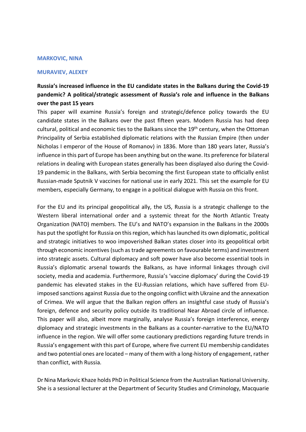#### **MARKOVIC, NINA**

### **MURAVIEV, ALEXEY**

# **Russia's increased influence in the EU candidate states in the Balkans during the Covid-19 pandemic? A political/strategic assessment of Russia's role and influence in the Balkans over the past 15 years**

This paper will examine Russia's foreign and strategic/defence policy towards the EU candidate states in the Balkans over the past fifteen years. Modern Russia has had deep cultural, political and economic ties to the Balkans since the 19<sup>th</sup> century, when the Ottoman Principality of Serbia established diplomatic relations with the Russian Empire (then under Nicholas I emperor of the House of Romanov) in 1836. More than 180 years later, Russia's influence in this part of Europe has been anything but on the wane. Its preference for bilateral relations in dealing with European states generally has been displayed also during the Covid-19 pandemic in the Balkans, with Serbia becoming the first European state to officially enlist Russian-made Sputnik V vaccines for national use in early 2021. This set the example for EU members, especially Germany, to engage in a political dialogue with Russia on this front.

For the EU and its principal geopolitical ally, the US, Russia is a strategic challenge to the Western liberal international order and a systemic threat for the North Atlantic Treaty Organization (NATO) members. The EU's and NATO's expansion in the Balkans in the 2000s has put the spotlight for Russia on this region, which has launched its own diplomatic, political and strategic initiatives to woo impoverished Balkan states closer into its geopolitical orbit through economic incentives (such as trade agreements on favourable terms) and investment into strategic assets. Cultural diplomacy and soft power have also become essential tools in Russia's diplomatic arsenal towards the Balkans, as have informal linkages through civil society, media and academia. Furthermore, Russia's 'vaccine diplomacy' during the Covid-19 pandemic has elevated stakes in the EU-Russian relations, which have suffered from EUimposed sanctions against Russia due to the ongoing conflict with Ukraine and the annexation of Crimea. We will argue that the Balkan region offers an insightful case study of Russia's foreign, defence and security policy outside its traditional Near Abroad circle of influence. This paper will also, albeit more marginally, analyse Russia's foreign interference, energy diplomacy and strategic investments in the Balkans as a counter-narrative to the EU/NATO influence in the region. We will offer some cautionary predictions regarding future trends in Russia's engagement with this part of Europe, where five current EU membership candidates and two potential ones are located – many of them with a long-history of engagement, rather than conflict, with Russia.

Dr Nina Markovic Khaze holds PhD in Political Science from the Australian National University. She is a sessional lecturer at the Department of Security Studies and Criminology, Macquarie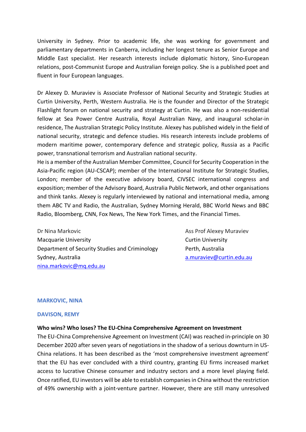University in Sydney. Prior to academic life, she was working for government and parliamentary departments in Canberra, including her longest tenure as Senior Europe and Middle East specialist. Her research interests include diplomatic history, Sino-European relations, post-Communist Europe and Australian foreign policy. She is a published poet and fluent in four European languages.

Dr Alexey D. Muraviev is Associate Professor of National Security and Strategic Studies at Curtin University, Perth, Western Australia. He is the founder and Director of the Strategic Flashlight forum on national security and strategy at Curtin. He was also a non-residential fellow at Sea Power Centre Australia, Royal Australian Navy, and inaugural scholar-in residence, The Australian Strategic Policy Institute. Alexey has published widely in the field of national security, strategic and defence studies. His research interests include problems of modern maritime power, contemporary defence and strategic policy, Russia as a Pacific power, transnational terrorism and Australian national security.

He is a member of the Australian Member Committee, Council for Security Cooperation in the Asia-Pacific region (AU-CSCAP); member of the International Institute for Strategic Studies, London; member of the executive advisory board, CIVSEC international congress and exposition; member of the Advisory Board, Australia Public Network, and other organisations and think tanks. Alexey is regularly interviewed by national and international media, among them ABC TV and Radio, the Australian, Sydney Morning Herald, BBC World News and BBC Radio, Bloomberg, CNN, Fox News, The New York Times, and the Financial Times.

Dr Nina Markovic **Assemble Assemble Ass Prof Alexey Muraviev** Macquarie University **Curtin University** Curtin University Department of Security Studies and Criminology Perth, Australia Sydney, Australia a.muraviev@curtin.edu.au nina.markovic@mq.edu.au

### **MARKOVIC, NINA**

### **DAVISON, REMY**

### **Who wins? Who loses? The EU-China Comprehensive Agreement on Investment**

The EU-China Comprehensive Agreement on Investment (CAI) was reached in-principle on 30 December 2020 after seven years of negotiations in the shadow of a serious downturn in US-China relations. It has been described as the 'most comprehensive investment agreement' that the EU has ever concluded with a third country, granting EU firms increased market access to lucrative Chinese consumer and industry sectors and a more level playing field. Once ratified, EU investors will be able to establish companies in China without the restriction of 49% ownership with a joint-venture partner. However, there are still many unresolved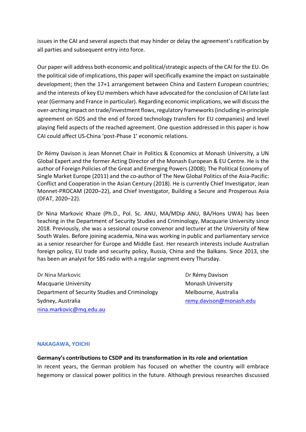issues in the CAI and several aspects that may hinder or delay the agreement's ratification by all parties and subsequent entry into force.

Our paper will address both economic and political/strategic aspects of the CAI for the EU. On the political side of implications, this paper will specifically examine the impact on sustainable development; then the 17+1 arrangement between China and Eastern European countries; and the interests of key EU members which have advocated for the conclusion of CAI late last year (Germany and France in particular). Regarding economic implications, we will discuss the over-arching impact on trade/investment flows, regulatory frameworks (including in-principle agreement on ISDS and the end of forced technology transfers for EU companies) and level playing field aspects of the reached agreement. One question addressed in this paper is how CAI could affect US-China 'post-Phase 1' economic relations.

Dr Rémy Davison is Jean Monnet Chair in Politics & Economics at Monash University, a UN Global Expert and the former Acting Director of the Monash European & EU Centre. He is the author of Foreign Policies of the Great and Emerging Powers (2008); The Political Economy of Single Market Europe (2011) and the co-author of The New Global Politics of the Asia-Pacific: Conflict and Cooperation in the Asian Century (2018). He is currently Chief Investigator, Jean Monnet-PROCAM (2020–22), and Chief Investigator, Building a Secure and Prosperous Asia (DFAT, 2020–22).

Dr Nina Markovic Khaze (Ph.D., Pol. Sc. ANU, MA/MDip ANU, BA/Hons UWA) has been teaching in the Department of Security Studies and Criminology, Macquarie University since 2018. Previously, she was a sessional course convenor and lecturer at the University of New South Wales. Before joining academia, Nina was working in public and parliamentary service as a senior researcher for Europe and Middle East. Her research interests include Australian foreign policy, EU trade and security policy, Russia, China and the Balkans. Since 2013, she has been an analyst for SBS radio with a regular segment every Thursday.

Dr Nina Markovic **Dr Rémy Davison** Macquarie University Monash University Monash University Department of Security Studies and Criminology Melbourne, Australia Sydney, Australia remy.davison@monash.edu nina.markovic@mq.edu.au

## **NAKAGAWA, YOICHI**

## **Germany's contributions to CSDP and its transformation in its role and orientation**

In recent years, the German problem has focused on whether the country will embrace hegemony or classical power politics in the future. Although previous researches discussed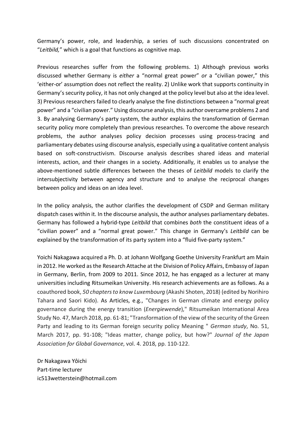Germany's power, role, and leadership, a series of such discussions concentrated on "*Leitbild,*" which is a goal that functions as cognitive map.

Previous researches suffer from the following problems. 1) Although previous works discussed whether Germany is *either* a "normal great power" *or* a "civilian power," this 'either-or' assumption does not reflect the reality. 2) Unlike work that supports continuity in Germany's security policy, it has not only changed at the policy level but also at the idea level. 3) Previous researchers failed to clearly analyse the fine distinctions between a "normal great power" and a "civilian power." Using discourse analysis, this author overcame problems 2 and 3. By analysing Germany's party system, the author explains the transformation of German security policy more completely than previous researches. To overcome the above research problems, the author analyses policy decision processes using process-tracing and parliamentary debates using discourse analysis, especially using a qualitative content analysis based on soft-constructivism. Discourse analysis describes shared ideas and material interests, action, and their changes in a society. Additionally, it enables us to analyse the above-mentioned subtle differences between the theses of *Leitbild* models to clarify the intersubjectivity between agency and structure and to analyse the reciprocal changes between policy and ideas on an idea level.

In the policy analysis, the author clarifies the development of CSDP and German military dispatch cases within it. In the discourse analysis, the author analyses parliamentary debates. Germany has followed a hybrid-type *Leitbild* that combines *both* the constituent ideas of a "civilian power" and a "normal great power." This change in Germany's *Leitbild* can be explained by the transformation of its party system into a "fluid five-party system."

Yoichi Nakagawa acquired a Ph. D. at Johann Wolfgang Goethe University Frankfurt am Main in 2012. He worked as the Research Attache at the Division of Policy Affairs, Embassy of Japan in Germany, Berlin, from 2009 to 2011. Since 2012, he has engaged as a lecturer at many universities including Ritsumeikan University. His research achievements are as follows. As a coauthored book, *50 chapters to know Luxembourg* (Akashi Shoten, 2018) (edited by Norihiro Tahara and Saori Kido). As Articles, e.g., "Changes in German climate and energy policy governance during the energy transition (*Energiewende*)," Ritsumeikan International Area Study No. 47, March 2018, pp. 61-81; "Transformation of the view of the security of the Green Party and leading to its German foreign security policy Meaning " *German study*, No. 51, March 2017, pp. 91-108; "Ideas matter, change policy, but how?" *Journal of the Japan Association for Global Governance*, vol. 4. 2018, pp. 110-122.

Dr Nakagawa Yôichi Part-time lecturer ic513wetterstein@hotmail.com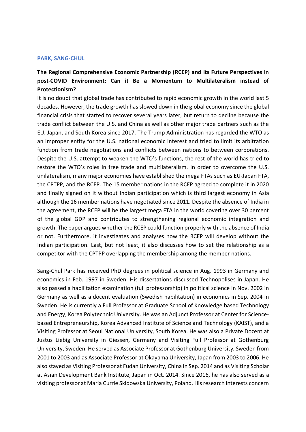#### **PARK, SANG-CHUL**

# **The Regional Comprehensive Economic Partnership (RCEP) and Its Future Perspectives in post-COVID Environment: Can it Be a Momentum to Multilateralism instead of Protectionism**?

It is no doubt that global trade has contributed to rapid economic growth in the world last 5 decades. However, the trade growth has slowed down in the global economy since the global financial crisis that started to recover several years later, but return to decline because the trade conflict between the U.S. and China as well as other major trade partners such as the EU, Japan, and South Korea since 2017. The Trump Administration has regarded the WTO as an improper entity for the U.S. national economic interest and tried to limit its arbitration function from trade negotiations and conflicts between nations to between corporations. Despite the U.S. attempt to weaken the WTO's functions, the rest of the world has tried to restore the WTO's roles in free trade and multilateralism. In order to overcome the U.S. unilateralism, many major economies have established the mega FTAs such as EU-Japan FTA, the CPTPP, and the RCEP. The 15 member nations in the RCEP agreed to complete it in 2020 and finally signed on it without Indian participation which is third largest economy in Asia although the 16 member nations have negotiated since 2011. Despite the absence of India in the agreement, the RCEP will be the largest mega FTA in the world covering over 30 percent of the global GDP and contributes to strengthening regional economic integration and growth. The paper argues whether the RCEP could function properly with the absence of India or not. Furthermore, it investigates and analyses how the RCEP will develop without the Indian participation. Last, but not least, it also discusses how to set the relationship as a competitor with the CPTPP overlapping the membership among the member nations.

Sang-Chul Park has received PhD degrees in political science in Aug. 1993 in Germany and economics in Feb. 1997 in Sweden. His dissertations discussed Technopolises in Japan. He also passed a habilitation examination (full professorship) in political science in Nov. 2002 in Germany as well as a docent evaluation (Swedish habilitation) in economics in Sep. 2004 in Sweden. He is currently a Full Professor at Graduate School of Knowledge based Technology and Energy, Korea Polytechnic University. He was an Adjunct Professor at Center for Sciencebased Entrepreneurship, Korea Advanced Institute of Science and Technology (KAIST), and a Visiting Professor at Seoul National University, South Korea. He was also a Private Dozent at Justus Liebig University in Giessen, Germany and Visiting Full Professor at Gothenburg University, Sweden. He served as Associate Professor at Gothenburg University, Sweden from 2001 to 2003 and as Associate Professor at Okayama University, Japan from 2003 to 2006. He also stayed as Visiting Professor at Fudan University, China in Sep. 2014 and as Visiting Scholar at Asian Development Bank Institute, Japan in Oct. 2014. Since 2016, he has also served as a visiting professor at Maria Currie Skldowska University, Poland. His research interests concern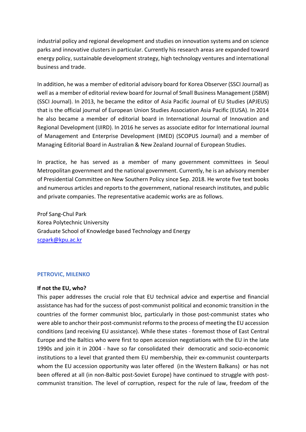industrial policy and regional development and studies on innovation systems and on science parks and innovative clusters in particular. Currently his research areas are expanded toward energy policy, sustainable development strategy, high technology ventures and international business and trade.

In addition, he was a member of editorial advisory board for Korea Observer (SSCI Journal) as well as a member of editorial review board for Journal of Small Business Management (JSBM) (SSCI Journal). In 2013, he became the editor of Asia Pacific Journal of EU Studies (APJEUS) that is the official journal of European Union Studies Association Asia Pacific (EUSA). In 2014 he also became a member of editorial board in International Journal of Innovation and Regional Development (IJIRD). In 2016 he serves as associate editor for International Journal of Management and Enterprise Development (IMED) (SCOPUS Journal) and a member of Managing Editorial Board in Australian & New Zealand Journal of European Studies.

In practice, he has served as a member of many government committees in Seoul Metropolitan government and the national government. Currently, he is an advisory member of Presidential Committee on New Southern Policy since Sep. 2018. He wrote five text books and numerous articles and reports to the government, national research institutes, and public and private companies. The representative academic works are as follows.

Prof Sang-Chul Park Korea Polytechnic University Graduate School of Knowledge based Technology and Energy scpark@kpu.ac.kr

## **PETROVIC, MILENKO**

### **If not the EU, who?**

This paper addresses the crucial role that EU technical advice and expertise and financial assistance has had for the success of post-communist political and economic transition in the countries of the former communist bloc, particularly in those post-communist states who were able to anchor their post-communist reforms to the process of meeting the EU accession conditions (and receiving EU assistance). While these states - foremost those of East Central Europe and the Baltics who were first to open accession negotiations with the EU in the late 1990s and join it in 2004 - have so far consolidated their democratic and socio-economic institutions to a level that granted them EU membership, their ex-communist counterparts whom the EU accession opportunity was later offered (in the Western Balkans) or has not been offered at all (in non-Baltic post-Soviet Europe) have continued to struggle with postcommunist transition. The level of corruption, respect for the rule of law, freedom of the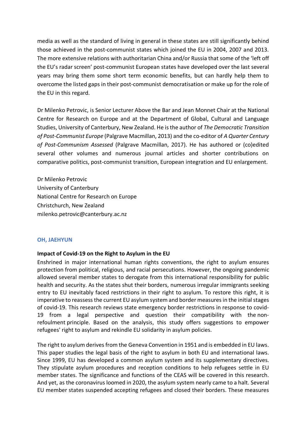media as well as the standard of living in general in these states are still significantly behind those achieved in the post-communist states which joined the EU in 2004, 2007 and 2013. The more extensive relations with authoritarian China and/or Russia that some of the 'left off the EU's radar screen' post-communist European states have developed over the last several years may bring them some short term economic benefits, but can hardly help them to overcome the listed gaps in their post-communist democratisation or make up for the role of the EU in this regard.

Dr Milenko Petrovic, is Senior Lecturer Above the Bar and Jean Monnet Chair at the National Centre for Research on Europe and at the Department of Global, Cultural and Language Studies, University of Canterbury, New Zealand. He is the author of *The Democratic Transition of Post-Communist Europe* (Palgrave Macmillan, 2013) and the co-editor of *A Quarter Century of Post-Communism Assessed* (Palgrave Macmillan, 2017). He has authored or (co)edited several other volumes and numerous journal articles and shorter contributions on comparative politics, post-communist transition, European integration and EU enlargement.

Dr Milenko Petrovic University of Canterbury National Centre for Research on Europe Christchurch, New Zealand milenko.petrovic@canterbury.ac.nz

### **OH, JAEHYUN**

## **Impact of Covid-19 on the Right to Asylum in the EU**

Enshrined in major international human rights conventions, the right to asylum ensures protection from political, religious, and racial persecutions. However, the ongoing pandemic allowed several member states to derogate from this international responsibility for public health and security. As the states shut their borders, numerous irregular immigrants seeking entry to EU inevitably faced restrictions in their right to asylum. To restore this right, it is imperative to reassess the current EU asylum system and border measures in the initial stages of covid-19. This research reviews state emergency border restrictions in response to covid-19 from a legal perspective and question their compatibility with the nonrefoulment principle. Based on the analysis, this study offers suggestions to empower refugees' right to asylum and rekindle EU solidarity in asylum policies.

The right to asylum derives from the Geneva Convention in 1951 and is embedded in EU laws. This paper studies the legal basis of the right to asylum in both EU and international laws. Since 1999, EU has developed a common asylum system and its supplementary directives. They stipulate asylum procedures and reception conditions to help refugees settle in EU member states. The significance and functions of the CEAS will be covered in this research. And yet, as the coronavirus loomed in 2020, the asylum system nearly came to a halt. Several EU member states suspended accepting refugees and closed their borders. These measures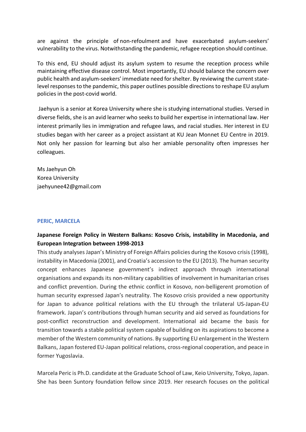are against the principle of non-refoulment and have exacerbated asylum-seekers' vulnerability to the virus. Notwithstanding the pandemic, refugee reception should continue.

To this end, EU should adjust its asylum system to resume the reception process while maintaining effective disease control. Most importantly, EU should balance the concern over public health and asylum-seekers' immediate need for shelter. By reviewing the current statelevel responses to the pandemic, this paper outlines possible directions to reshape EU asylum policies in the post-covid world.

Jaehyun is a senior at Korea University where she is studying international studies. Versed in diverse fields, she is an avid learner who seeks to build her expertise in international law. Her interest primarily lies in immigration and refugee laws, and racial studies. Her interest in EU studies began with her career as a project assistant at KU Jean Monnet EU Centre in 2019. Not only her passion for learning but also her amiable personality often impresses her colleagues.

Ms Jaehyun Oh Korea University jaehyunee42@gmail.com

## **PERIC, MARCELA**

# **Japanese Foreign Policy in Western Balkans: Kosovo Crisis, instability in Macedonia, and European Integration between 1998-2013**

This study analyses Japan's Ministry of Foreign Affairs policies during the Kosovo crisis (1998), instability in Macedonia (2001), and Croatia's accession to the EU (2013). The human security concept enhances Japanese government's indirect approach through international organisations and expands its non-military capabilities of involvement in humanitarian crises and conflict prevention. During the ethnic conflict in Kosovo, non-belligerent promotion of human security expressed Japan's neutrality. The Kosovo crisis provided a new opportunity for Japan to advance political relations with the EU through the trilateral US-Japan-EU framework. Japan's contributions through human security and aid served as foundations for post-conflict reconstruction and development. International aid became the basis for transition towards a stable political system capable of building on its aspirations to become a member of the Western community of nations. By supporting EU enlargement in the Western Balkans, Japan fostered EU-Japan political relations, cross-regional cooperation, and peace in former Yugoslavia.

Marcela Peric is Ph.D. candidate at the Graduate School of Law, Keio University, Tokyo, Japan. She has been Suntory foundation fellow since 2019. Her research focuses on the political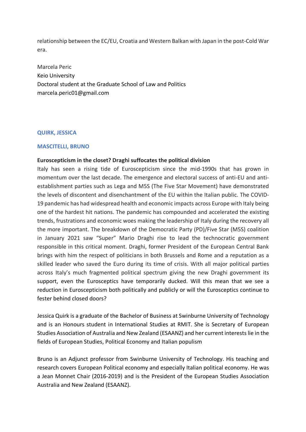relationship between the EC/EU, Croatia and Western Balkan with Japan in the post-Cold War era.

Marcela Peric Keio University Doctoral student at the Graduate School of Law and Politics marcela.peric01@gmail.com

## **QUIRK, JESSICA**

## **MASCITELLI, BRUNO**

## **Euroscepticism in the closet? Draghi suffocates the political division**

Italy has seen a rising tide of Euroscepticism since the mid-1990s that has grown in momentum over the last decade. The emergence and electoral success of anti-EU and antiestablishment parties such as Lega and M5S (The Five Star Movement) have demonstrated the levels of discontent and disenchantment of the EU within the Italian public. The COVID-19 pandemic has had widespread health and economic impacts across Europe with Italy being one of the hardest hit nations. The pandemic has compounded and accelerated the existing trends, frustrations and economic woes making the leadership of Italy during the recovery all the more important. The breakdown of the Democratic Party (PD)/Five Star (M5S) coalition in January 2021 saw "Super" Mario Draghi rise to lead the technocratic government responsible in this critical moment. Draghi, former President of the European Central Bank brings with him the respect of politicians in both Brussels and Rome and a reputation as a skilled leader who saved the Euro during its time of crisis. With all major political parties across Italy's much fragmented political spectrum giving the new Draghi government its support, even the Eurosceptics have temporarily ducked. Will this mean that we see a reduction in Euroscepticism both politically and publicly or will the Eurosceptics continue to fester behind closed doors?

Jessica Quirk is a graduate of the Bachelor of Business at Swinburne University of Technology and is an Honours student in International Studies at RMIT. She is Secretary of European Studies Association of Australia and New Zealand (ESAANZ) and her current interests lie in the fields of European Studies, Political Economy and Italian populism

Bruno is an Adjunct professor from Swinburne University of Technology. His teaching and research covers European Political economy and especially Italian political economy. He was a Jean Monnet Chair (2016-2019) and is the President of the European Studies Association Australia and New Zealand (ESAANZ).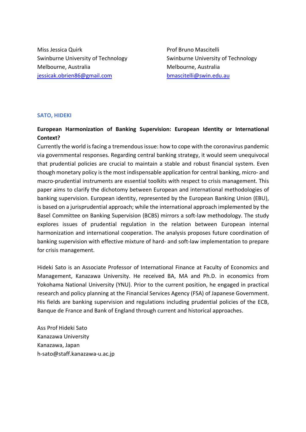Miss Jessica Quirk Prof Bruno Mascitelli Swinburne University of Technology Swinburne University of Technology Melbourne, Australia Melbourne, Australia jessicak.obrien86@gmail.com bmascitelli@swin.edu.au

# **SATO, HIDEKI**

# **European Harmonization of Banking Supervision: European Identity or International Context?**

Currently the world is facing a tremendous issue: how to cope with the coronavirus pandemic via governmental responses. Regarding central banking strategy, it would seem unequivocal that prudential policies are crucial to maintain a stable and robust financial system. Even though monetary policy is the most indispensable application for central banking, micro- and macro-prudential instruments are essential toolkits with respect to crisis management. This paper aims to clarify the dichotomy between European and international methodologies of banking supervision. European identity, represented by the European Banking Union (EBU), is based on a jurisprudential approach; while the international approach implemented by the Basel Committee on Banking Supervision (BCBS) mirrors a soft-law methodology. The study explores issues of prudential regulation in the relation between European internal harmonization and international cooperation. The analysis proposes future coordination of banking supervision with effective mixture of hard- and soft-law implementation to prepare for crisis management.

Hideki Sato is an Associate Professor of International Finance at Faculty of Economics and Management, Kanazawa University. He received BA, MA and Ph.D. in economics from Yokohama National University (YNU). Prior to the current position, he engaged in practical research and policy planning at the Financial Services Agency (FSA) of Japanese Government. His fields are banking supervision and regulations including prudential policies of the ECB, Banque de France and Bank of England through current and historical approaches.

Ass Prof Hideki Sato Kanazawa University Kanazawa, Japan h-sato@staff.kanazawa-u.ac.jp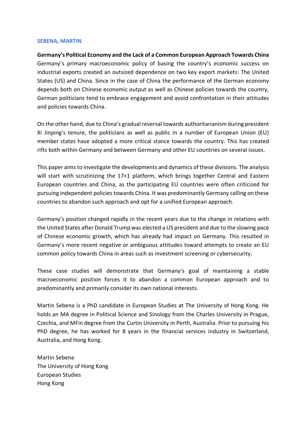#### **SEBENA, MARTIN**

**Germany's Political Economy and the Lack of a Common European Approach Towards China** Germany's primary macroeconomic policy of basing the country's economic success on industrial exports created an outsized dependence on two key export markets: The United States (US) and China. Since in the case of China the performance of the German economy depends both on Chinese economic output as well as Chinese policies towards the country, German politicians tend to embrace engagement and avoid confrontation in their attitudes and policies towards China.

On the other hand, due to China's gradual reversal towards authoritarianism during president Xi Jinping's tenure, the politicians as well as public in a number of European Union (EU) member states have adopted a more critical stance towards the country. This has created rifts both within Germany and between Germany and other EU countries on several issues.

This paper aims to investigate the developments and dynamics of these divisions. The analysis will start with scrutinizing the 17+1 platform, which brings together Central and Eastern European countries and China, as the participating EU countries were often criticized for pursuing independent policies towards China. It was predominantly Germany calling on these countries to abandon such approach and opt for a unified European approach.

Germany's position changed rapidly in the recent years due to the change in relations with the United States after Donald Trump was elected a US president and due to the slowing pace of Chinese economic growth, which has already had impact on Germany. This resulted in Germany's more recent negative or ambiguous attitudes toward attempts to create an EU common policy towards China in areas such as investment screening or cybersecurity.

These case studies will demonstrate that Germany's goal of maintaining a stable macroeconomic position forces it to abandon a common European approach and to predominantly and primarily consider its own national interests.

Martin Sebena is a PhD candidate in European Studies at The University of Hong Kong. He holds an MA degree in Political Science and Sinology from the Charles University in Prague, Czechia, and MFin degree from the Curtin University in Perth, Australia. Prior to pursuing his PhD degree, he has worked for 8 years in the financial services industry in Switzerland, Australia, and Hong Kong.

Martin Sebena The University of Hong Kong European Studies Hong Kong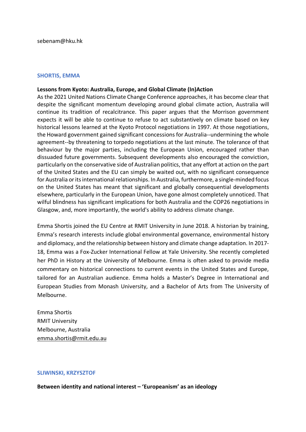## **SHORTIS, EMMA**

## **Lessons from Kyoto: Australia, Europe, and Global Climate (In)Action**

As the 2021 United Nations Climate Change Conference approaches, it has become clear that despite the significant momentum developing around global climate action, Australia will continue its tradition of recalcitrance. This paper argues that the Morrison government expects it will be able to continue to refuse to act substantively on climate based on key historical lessons learned at the Kyoto Protocol negotiations in 1997. At those negotiations, the Howard government gained significant concessions for Australia--undermining the whole agreement--by threatening to torpedo negotiations at the last minute. The tolerance of that behaviour by the major parties, including the European Union, encouraged rather than dissuaded future governments. Subsequent developments also encouraged the conviction, particularly on the conservative side of Australian politics, that any effort at action on the part of the United States and the EU can simply be waited out, with no significant consequence for Australia or its international relationships. In Australia, furthermore, a single-minded focus on the United States has meant that significant and globally consequential developments elsewhere, particularly in the European Union, have gone almost completely unnoticed. That wilful blindness has significant implications for both Australia and the COP26 negotiations in Glasgow, and, more importantly, the world's ability to address climate change.

Emma Shortis joined the EU Centre at RMIT University in June 2018. A historian by training, Emma's research interests include global environmental governance, environmental history and diplomacy, and the relationship between history and climate change adaptation. In 2017- 18, Emma was a Fox-Zucker International Fellow at Yale University. She recently completed her PhD in History at the University of Melbourne. Emma is often asked to provide media commentary on historical connections to current events in the United States and Europe, tailored for an Australian audience. Emma holds a Master's Degree in International and European Studies from Monash University, and a Bachelor of Arts from The University of Melbourne.

Emma Shortis RMIT University Melbourne, Australia emma.shortis@rmit.edu.au

### **SLIWINSKI, KRZYSZTOF**

**Between identity and national interest – 'Europeanism' as an ideology**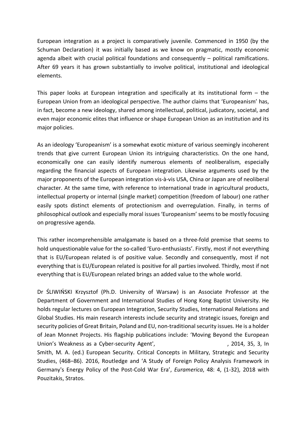European integration as a project is comparatively juvenile. Commenced in 1950 (by the Schuman Declaration) it was initially based as we know on pragmatic, mostly economic agenda albeit with crucial political foundations and consequently – political ramifications. After 69 years it has grown substantially to involve political, institutional and ideological elements.

This paper looks at European integration and specifically at its institutional form  $-$  the European Union from an ideological perspective. The author claims that 'Europeanism' has, in fact, become a new ideology, shared among intellectual, political, judicatory, societal, and even major economic elites that influence or shape European Union as an institution and its major policies.

As an ideology 'Europeanism' is a somewhat exotic mixture of various seemingly incoherent trends that give current European Union its intriguing characteristics. On the one hand, economically one can easily identify numerous elements of neoliberalism, especially regarding the financial aspects of European integration. Likewise arguments used by the major proponents of the European integration vis-à-vis USA, China or Japan are of neoliberal character. At the same time, with reference to international trade in agricultural products, intellectual property or internal (single market) competition (freedom of labour) one rather easily spots distinct elements of protectionism and overregulation. Finally, in terms of philosophical outlook and especially moral issues 'Europeanism' seems to be mostly focusing on progressive agenda.

This rather incomprehensible amalgamate is based on a three-fold premise that seems to hold unquestionable value for the so-called 'Euro-enthusiasts'. Firstly, most if not everything that is EU/European related is of positive value. Secondly and consequently, most if not everything that is EU/European related is positive for all parties involved. Thirdly, most if not everything that is EU/European related brings an added value to the whole world.

Dr ŚLIWIŃSKI Krzysztof (Ph.D. University of Warsaw) is an Associate Professor at the Department of Government and International Studies of Hong Kong Baptist University. He holds regular lectures on European Integration, Security Studies, International Relations and Global Studies. His main research interests include security and strategic issues, foreign and security policies of Great Britain, Poland and EU, non-traditional security issues. He is a holder of Jean Monnet Projects. His flagship publications include: 'Moving Beyond the European Union's Weakness as a Cyber-security Agent', **Contemporary Agent** 1, 2014, 35, 3, In Smith, M. A. (ed.) European Security. Critical Concepts in Military, Strategic and Security Studies, (468–86). 2016, Routledge and 'A Study of Foreign Policy Analysis Framework in Germany's Energy Policy of the Post-Cold War Era', *Euramerica*, 48: 4, (1-32), 2018 with Pouzitakis, Stratos.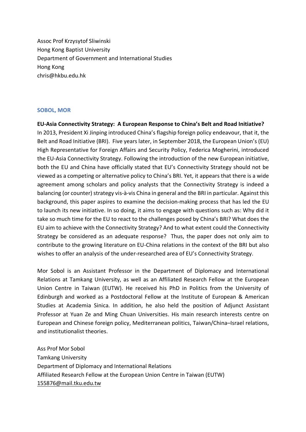Assoc Prof Krzysytof Sliwinski Hong Kong Baptist University Department of Government and International Studies Hong Kong chris@hkbu.edu.hk

## **SOBOL, MOR**

**EU-Asia Connectivity Strategy: A European Response to China's Belt and Road Initiative?** In 2013, President Xi Jinping introduced China's flagship foreign policy endeavour, that it, the Belt and Road Initiative (BRI). Five years later, in September 2018, the European Union's (EU) High Representative for Foreign Affairs and Security Policy, Federica Mogherini, introduced the EU-Asia Connectivity Strategy. Following the introduction of the new European initiative, both the EU and China have officially stated that EU's Connectivity Strategy should not be viewed as a competing or alternative policy to China's BRI. Yet, it appears that there is a wide agreement among scholars and policy analysts that the Connectivity Strategy is indeed a balancing (or counter) strategy vis-à-vis China in general and the BRI in particular. Against this background, this paper aspires to examine the decision-making process that has led the EU to launch its new initiative. In so doing, it aims to engage with questions such as: Why did it take so much time for the EU to react to the challenges posed by China's BRI? What does the EU aim to achieve with the Connectivity Strategy? And to what extent could the Connectivity Strategy be considered as an adequate response? Thus, the paper does not only aim to contribute to the growing literature on EU-China relations in the context of the BRI but also wishes to offer an analysis of the under-researched area of EU's Connectivity Strategy.

Mor Sobol is an Assistant Professor in the Department of Diplomacy and International Relations at Tamkang University, as well as an Affiliated Research Fellow at the European Union Centre in Taiwan (EUTW). He received his PhD in Politics from the University of Edinburgh and worked as a Postdoctoral Fellow at the Institute of European & American Studies at Academia Sinica. In addition, he also held the position of Adjunct Assistant Professor at Yuan Ze and Ming Chuan Universities. His main research interests centre on European and Chinese foreign policy, Mediterranean politics, Taiwan/China–Israel relations, and institutionalist theories.

Ass Prof Mor Sobol Tamkang University Department of Diplomacy and International Relations Affiliated Research Fellow at the European Union Centre in Taiwan (EUTW) 155876@mail.tku.edu.tw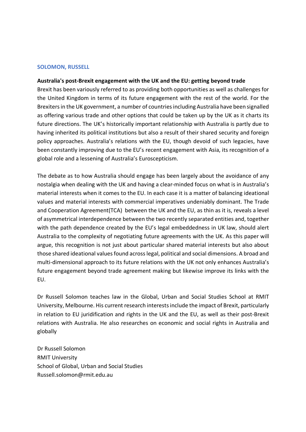### **SOLOMON, RUSSELL**

#### **Australia's post-Brexit engagement with the UK and the EU: getting beyond trade**

Brexit has been variously referred to as providing both opportunities as well as challenges for the United Kingdom in terms of its future engagement with the rest of the world. For the Brexiters in the UK government, a number of countries including Australia have been signalled as offering various trade and other options that could be taken up by the UK as it charts its future directions. The UK's historically important relationship with Australia is partly due to having inherited its political institutions but also a result of their shared security and foreign policy approaches. Australia's relations with the EU, though devoid of such legacies, have been constantly improving due to the EU's recent engagement with Asia, its recognition of a global role and a lessening of Australia's Euroscepticism.

The debate as to how Australia should engage has been largely about the avoidance of any nostalgia when dealing with the UK and having a clear-minded focus on what is in Australia's material interests when it comes to the EU. In each case it is a matter of balancing ideational values and material interests with commercial imperatives undeniably dominant. The Trade and Cooperation Agreement(TCA) between the UK and the EU, as thin as it is, reveals a level of asymmetrical interdependence between the two recently separated entities and, together with the path dependence created by the EU's legal embeddedness in UK law, should alert Australia to the complexity of negotiating future agreements with the UK. As this paper will argue, this recognition is not just about particular shared material interests but also about those shared ideational values found across legal, political and social dimensions. A broad and multi-dimensional approach to its future relations with the UK not only enhances Australia's future engagement beyond trade agreement making but likewise improve its links with the EU.

Dr Russell Solomon teaches law in the Global, Urban and Social Studies School at RMIT University, Melbourne. His current research interests include the impact of Brexit, particularly in relation to EU juridification and rights in the UK and the EU, as well as their post-Brexit relations with Australia. He also researches on economic and social rights in Australia and globally

Dr Russell Solomon RMIT University School of Global, Urban and Social Studies Russell.solomon@rmit.edu.au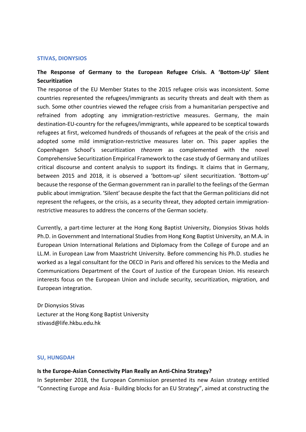#### **STIVAS, DIONYSIOS**

# **The Response of Germany to the European Refugee Crisis. A 'Bottom-Up' Silent Securitization**

The response of the EU Member States to the 2015 refugee crisis was inconsistent. Some countries represented the refugees/immigrants as security threats and dealt with them as such. Some other countries viewed the refugee crisis from a humanitarian perspective and refrained from adopting any immigration-restrictive measures. Germany, the main destination-EU-country for the refugees/immigrants, while appeared to be sceptical towards refugees at first, welcomed hundreds of thousands of refugees at the peak of the crisis and adopted some mild immigration-restrictive measures later on. This paper applies the Copenhagen School's securitization *theorem* as complemented with the novel Comprehensive Securitization Empirical Framework to the case study of Germany and utilizes critical discourse and content analysis to support its findings. It claims that in Germany, between 2015 and 2018, it is observed a 'bottom-up' silent securitization. 'Bottom-up' because the response of the German government ran in parallel to the feelings of the German public about immigration. 'Silent' because despite the fact that the German politicians did not represent the refugees, or the crisis, as a security threat, they adopted certain immigrationrestrictive measures to address the concerns of the German society.

Currently, a part-time lecturer at the Hong Kong Baptist University, Dionysios Stivas holds Ph.D. in Government and International Studies from Hong Kong Baptist University, an M.A. in European Union International Relations and Diplomacy from the College of Europe and an LL.M. in European Law from Maastricht University. Before commencing his Ph.D. studies he worked as a legal consultant for the OECD in Paris and offered his services to the Media and Communications Department of the Court of Justice of the European Union. His research interests focus on the European Union and include security, securitization, migration, and European integration.

Dr Dionysios Stivas Lecturer at the Hong Kong Baptist University stivasd@life.hkbu.edu.hk

#### **SU, HUNGDAH**

### **Is the Europe-Asian Connectivity Plan Really an Anti-China Strategy?**

In September 2018, the European Commission presented its new Asian strategy entitled "Connecting Europe and Asia - Building blocks for an EU Strategy", aimed at constructing the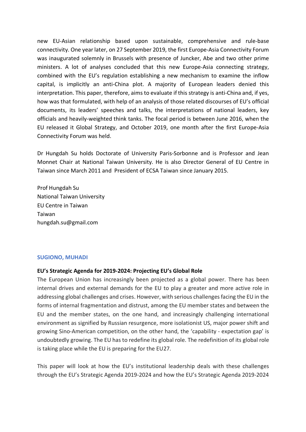new EU-Asian relationship based upon sustainable, comprehensive and rule-base connectivity. One year later, on 27 September 2019, the first Europe-Asia Connectivity Forum was inaugurated solemnly in Brussels with presence of Juncker, Abe and two other prime ministers. A lot of analyses concluded that this new Europe-Asia connecting strategy, combined with the EU's regulation establishing a new mechanism to examine the inflow capital, is implicitly an anti-China plot. A majority of European leaders denied this interpretation. This paper, therefore, aims to evaluate if this strategy is anti-China and, if yes, how was that formulated, with help of an analysis of those related discourses of EU's official documents, its leaders' speeches and talks, the interpretations of national leaders, key officials and heavily-weighted think tanks. The focal period is between June 2016, when the EU released it Global Strategy, and October 2019, one month after the first Europe-Asia Connectivity Forum was held.

Dr Hungdah Su holds Doctorate of University Paris-Sorbonne and is Professor and Jean Monnet Chair at National Taiwan University. He is also Director General of EU Centre in Taiwan since March 2011 and President of ECSA Taiwan since January 2015.

Prof Hungdah Su National Taiwan University EU Centre in Taiwan Taiwan hungdah.su@gmail.com

## **SUGIONO, MUHADI**

### **EU's Strategic Agenda for 2019-2024: Projecting EU's Global Role**

The European Union has increasingly been projected as a global power. There has been internal drives and external demands for the EU to play a greater and more active role in addressing global challenges and crises. However, with serious challenges facing the EU in the forms of internal fragmentation and distrust, among the EU member states and between the EU and the member states, on the one hand, and increasingly challenging international environment as signified by Russian resurgence, more isolationist US, major power shift and growing Sino-American competition, on the other hand, the 'capability - expectation gap' is undoubtedly growing. The EU has to redefine its global role. The redefinition of its global role is taking place while the EU is preparing for the EU27.

This paper will look at how the EU's institutional leadership deals with these challenges through the EU's Strategic Agenda 2019-2024 and how the EU's Strategic Agenda 2019-2024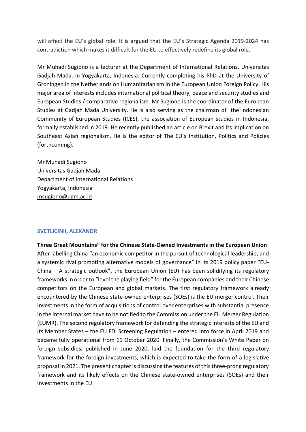will affect the EU's global role. It is argued that the EU's Strategic Agenda 2019-2024 has contradiction which makes it difficult for the EU to effectively redefine its global role.

Mr Muhadi Sugiono is a lecturer at the Department of International Relations, Universitas Gadjah Mada, in Yogyakarta, Indonesia. Currently completing his PhD at the University of Groningen in the Netherlands on Humanitarianism in the European Union Foreign Policy. His major area of interests includes international political theory, peace and security studies and European Studies / comparative regionalism. Mr Sugiono is the coordinator of the European Studies at Gadjah Mada University. He is also serving as the chairman of the Indonesian Community of European Studies (ICES), the association of European studies in Indonesia, formally established in 2019. He recently published an article on Brexit and its implication on Southeast Asian regionalism. He is the editor of The EU's Institution, Politics and Policies (forthcoming).

Mr Muhadi Sugiono Universitas Gadjah Mada Department of International Relations Yogyakarta, Indonesia msugiono@ugm.ac.id

### **SVETLICINII, ALEXANDR**

# **Three Great Mountains" for the Chinese State-Owned Investments in the European Union**

After labelling China "an economic competitor in the pursuit of technological leadership, and a systemic rival promoting alternative models of governance" in its 2019 policy paper "EU-China – A strategic outlook", the European Union (EU) has been solidifying its regulatory frameworks in order to "level the playing field" for the European companies and their Chinese competitors on the European and global markets. The first regulatory framework already encountered by the Chinese state-owned enterprises (SOEs) is the EU merger control. Their investments in the form of acquisitions of control over enterprises with substantial presence in the internal market have to be notified to the Commission under the EU Merger Regulation (EUMR). The second regulatory framework for defending the strategic interests of the EU and its Member States – the EU FDI Screening Regulation – entered into force in April 2019 and became fully operational from 11 October 2020. Finally, the Commission's White Paper on foreign subsidies, published in June 2020, laid the foundation for the third regulatory framework for the foreign investments, which is expected to take the form of a legislative proposal in 2021. The present chapter is discussing the features of this three-prong regulatory framework and its likely effects on the Chinese state-owned enterprises (SOEs) and their investments in the EU.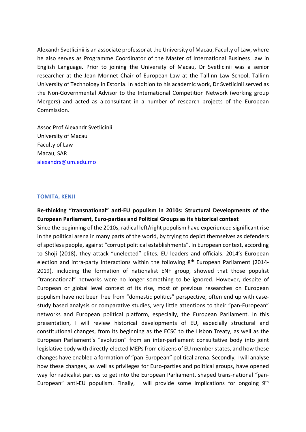Alexandr Svetlicinii is an associate professor at the University of Macau, Faculty of Law, where he also serves as Programme Coordinator of the Master of International Business Law in English Language. Prior to joining the University of Macau, Dr Svetlicinii was a senior researcher at the Jean Monnet Chair of European Law at the Tallinn Law School, Tallinn University of Technology in Estonia. In addition to his academic work, Dr Svetlicinii served as the Non-Governmental Advisor to the International Competition Network (working group Mergers) and acted as a consultant in a number of research projects of the European Commission.

Assoc Prof Alexandr Svetlicinii University of Macau Faculty of Law Macau, SAR alexandrs@um.edu.mo

#### **TOMITA, KENJI**

# **Re-thinking "transnational" anti-EU populism in 2010s: Structural Developments of the European Parliament, Euro-parties and Political Groups as its historical context**

Since the beginning of the 2010s, radical left/right populism have experienced significant rise in the political arena in many parts of the world, by trying to depict themselves as defenders of spotless people, against "corrupt political establishments". In European context, according to Shoji (2018), they attack "unelected" elites, EU leaders and officials. 2014's European election and intra-party interactions within the following  $8<sup>th</sup>$  European Parliament (2014-2019), including the formation of nationalist ENF group, showed that those populist "transnational" networks were no longer something to be ignored. However, despite of European or global level context of its rise, most of previous researches on European populism have not been free from "domestic politics" perspective, often end up with casestudy based analysis or comparative studies, very little attentions to their "pan-European" networks and European political platform, especially, the European Parliament. In this presentation, I will review historical developments of EU, especially structural and constitutional changes, from its beginning as the ECSC to the Lisbon Treaty, as well as the European Parliament's "evolution" from an inter-parliament consultative body into joint legislative body with directly-elected MEPs from citizens of EU member states, and how these changes have enabled a formation of "pan-European" political arena. Secondly, I will analyse how these changes, as well as privileges for Euro-parties and political groups, have opened way for radicalist parties to get into the European Parliament, shaped trans-national "pan-European" anti-EU populism. Finally, I will provide some implications for ongoing 9<sup>th</sup>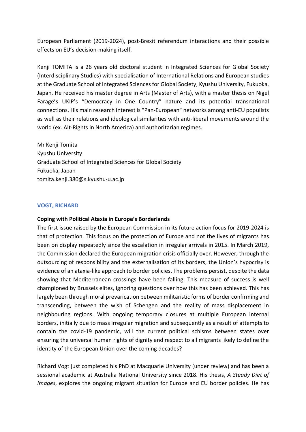European Parliament (2019-2024), post-Brexit referendum interactions and their possible effects on EU's decision-making itself.

Kenji TOMITA is a 26 years old doctoral student in Integrated Sciences for Global Society (Interdisciplinary Studies) with specialisation of International Relations and European studies at the Graduate School of Integrated Sciences for Global Society, Kyushu University, Fukuoka, Japan. He received his master degree in Arts (Master of Arts), with a master thesis on Nigel Farage's UKIP's "Democracy in One Country" nature and its potential transnational connections. His main research interest is "Pan-European" networks among anti-EU populists as well as their relations and ideological similarities with anti-liberal movements around the world (ex. Alt-Rights in North America) and authoritarian regimes.

Mr Kenji Tomita Kyushu University Graduate School of Integrated Sciences for Global Society Fukuoka, Japan tomita.kenji.380@s.kyushu-u.ac.jp

## **VOGT, RICHARD**

## **Coping with Political Ataxia in Europe's Borderlands**

The first issue raised by the European Commission in its future action focus for 2019-2024 is that of protection. This focus on the protection of Europe and not the lives of migrants has been on display repeatedly since the escalation in irregular arrivals in 2015. In March 2019, the Commission declared the European migration crisis officially over. However, through the outsourcing of responsibility and the externalisation of its borders, the Union's hypocrisy is evidence of an ataxia-like approach to border policies. The problems persist, despite the data showing that Mediterranean crossings have been falling. This measure of success is well championed by Brussels elites, ignoring questions over how this has been achieved. This has largely been through moral prevarication between militaristic forms of border confirming and transcending, between the wish of Schengen and the reality of mass displacement in neighbouring regions. With ongoing temporary closures at multiple European internal borders, initially due to mass irregular migration and subsequently as a result of attempts to contain the covid-19 pandemic, will the current political schisms between states over ensuring the universal human rights of dignity and respect to all migrants likely to define the identity of the European Union over the coming decades?

Richard Vogt just completed his PhD at Macquarie University (under review) and has been a sessional academic at Australia National University since 2018. His thesis, *A Steady Diet of Images*, explores the ongoing migrant situation for Europe and EU border policies. He has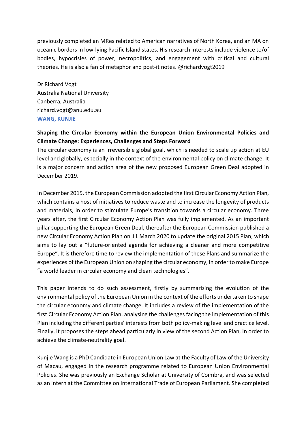previously completed an MRes related to American narratives of North Korea, and an MA on oceanic borders in low-lying Pacific Island states. His research interests include violence to/of bodies, hypocrisies of power, necropolitics, and engagement with critical and cultural theories. He is also a fan of metaphor and post-it notes. @richardvogt2019

Dr Richard Vogt Australia National University Canberra, Australia richard.vogt@anu.edu.au **WANG, KUNJIE**

# **Shaping the Circular Economy within the European Union Environmental Policies and Climate Change: Experiences, Challenges and Steps Forward**

The circular economy is an irreversible global goal, which is needed to scale up action at EU level and globally, especially in the context of the environmental policy on climate change. It is a major concern and action area of the new proposed European Green Deal adopted in December 2019.

In December 2015, the European Commission adopted the first Circular Economy Action Plan, which contains a host of initiatives to reduce waste and to increase the longevity of products and materials, in order to stimulate Europe's transition towards a circular economy. Three years after, the first Circular Economy Action Plan was fully implemented. As an important pillar supporting the European Green Deal, thereafter the European Commission published a new Circular Economy Action Plan on 11 March 2020 to update the original 2015 Plan, which aims to lay out a "future-oriented agenda for achieving a cleaner and more competitive Europe". It is therefore time to review the implementation of these Plans and summarize the experiences of the European Union on shaping the circular economy, in order to make Europe "a world leader in circular economy and clean technologies".

This paper intends to do such assessment, firstly by summarizing the evolution of the environmental policy of the European Union in the context of the efforts undertaken to shape the circular economy and climate change. It includes a review of the implementation of the first Circular Economy Action Plan, analysing the challenges facing the implementation of this Plan including the different parties' interests from both policy-making level and practice level. Finally, it proposes the steps ahead particularly in view of the second Action Plan, in order to achieve the climate-neutrality goal.

Kunjie Wang is a PhD Candidate in European Union Law at the Faculty of Law of the University of Macau, engaged in the research programme related to European Union Environmental Policies. She was previously an Exchange Scholar at University of Coimbra, and was selected as an intern at the Committee on International Trade of European Parliament. She completed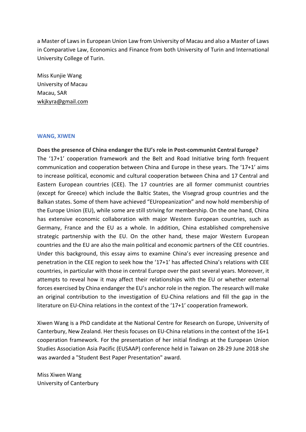a Master of Laws in European Union Law from University of Macau and also a Master of Laws in Comparative Law, Economics and Finance from both University of Turin and International University College of Turin.

Miss Kunjie Wang University of Macau Macau, SAR wkjkyra@gmail.com

## **WANG, XIWEN**

**Does the presence of China endanger the EU's role in Post-communist Central Europe?** The '17+1' cooperation framework and the Belt and Road Initiative bring forth frequent communication and cooperation between China and Europe in these years. The '17+1' aims to increase political, economic and cultural cooperation between China and 17 Central and Eastern European countries (CEE). The 17 countries are all former communist countries (except for Greece) which include the Baltic States, the Visegrad group countries and the Balkan states. Some of them have achieved "EUropeanization" and now hold membership of the Europe Union (EU), while some are still striving for membership. On the one hand, China has extensive economic collaboration with major Western European countries, such as Germany, France and the EU as a whole. In addition, China established comprehensive strategic partnership with the EU. On the other hand, these major Western European countries and the EU are also the main political and economic partners of the CEE countries. Under this background, this essay aims to examine China's ever increasing presence and penetration in the CEE region to seek how the '17+1' has affected China's relations with CEE countries, in particular with those in central Europe over the past several years. Moreover, it attempts to reveal how it may affect their relationships with the EU or whether external forces exercised by China endanger the EU's anchor role in the region. The research will make an original contribution to the investigation of EU-China relations and fill the gap in the literature on EU-China relations in the context of the '17+1' cooperation framework.

Xiwen Wang is a PhD candidate at the National Centre for Research on Europe, University of Canterbury, New Zealand. Her thesis focuses on EU-China relations in the context of the 16+1 cooperation framework. For the presentation of her initial findings at the European Union Studies Association Asia Pacific (EUSAAP) conference held in Taiwan on 28-29 June 2018 she was awarded a "Student Best Paper Presentation" award.

Miss Xiwen Wang University of Canterbury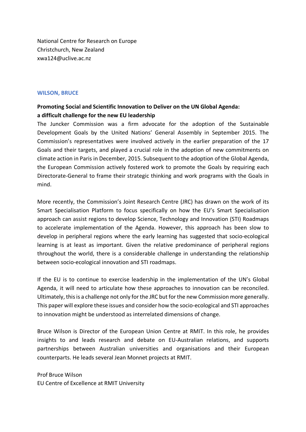National Centre for Research on Europe Christchurch, New Zealand xwa124@uclive.ac.nz

## **WILSON, BRUCE**

# **Promoting Social and Scientific Innovation to Deliver on the UN Global Agenda: a difficult challenge for the new EU leadership**

The Juncker Commission was a firm advocate for the adoption of the Sustainable Development Goals by the United Nations' General Assembly in September 2015. The Commission's representatives were involved actively in the earlier preparation of the 17 Goals and their targets, and played a crucial role in the adoption of new commitments on climate action in Paris in December, 2015. Subsequent to the adoption of the Global Agenda, the European Commission actively fostered work to promote the Goals by requiring each Directorate-General to frame their strategic thinking and work programs with the Goals in mind.

More recently, the Commission's Joint Research Centre (JRC) has drawn on the work of its Smart Specialisation Platform to focus specifically on how the EU's Smart Specialisation approach can assist regions to develop Science, Technology and Innovation (STI) Roadmaps to accelerate implementation of the Agenda. However, this approach has been slow to develop in peripheral regions where the early learning has suggested that socio-ecological learning is at least as important. Given the relative predominance of peripheral regions throughout the world, there is a considerable challenge in understanding the relationship between socio-ecological innovation and STI roadmaps.

If the EU is to continue to exercise leadership in the implementation of the UN's Global Agenda, it will need to articulate how these approaches to innovation can be reconciled. Ultimately, this is a challenge not only for the JRC but for the new Commission more generally. This paper will explore these issues and consider how the socio-ecological and STI approaches to innovation might be understood as interrelated dimensions of change.

Bruce Wilson is Director of the European Union Centre at RMIT. In this role, he provides insights to and leads research and debate on EU-Australian relations, and supports partnerships between Australian universities and organisations and their European counterparts. He leads several Jean Monnet projects at RMIT.

Prof Bruce Wilson EU Centre of Excellence at RMIT University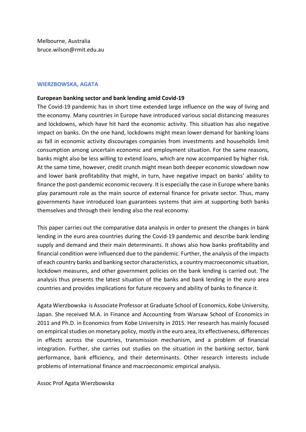Melbourne, Australia bruce.wilson@rmit.edu.au

#### **WIERZBOWSKA, AGATA**

#### **European banking sector and bank lending amid Covid-19**

The Covid-19 pandemic has in short time extended large influence on the way of living and the economy. Many countries in Europe have introduced various social distancing measures and lockdowns, which have hit hard the economic activity. This situation has also negative impact on banks. On the one hand, lockdowns might mean lower demand for banking loans as fall in economic activity discourages companies from investments and households limit consumption among uncertain economic and employment situation. For the same reasons, banks might also be less willing to extend loans, which are now accompanied by higher risk. At the same time, however, credit crunch might mean both deeper economic slowdown now and lower bank profitability that might, in turn, have negative impact on banks' ability to finance the post-pandemic economic recovery. It is especially the case in Europe where banks play paramount role as the main source of external finance for private sector. Thus, many governments have introduced loan guarantees systems that aim at supporting both banks themselves and through their lending also the real economy.

This paper carries out the comparative data analysis in order to present the changes in bank lending in the euro area countries during the Covid-19 pandemic and describe bank lending supply and demand and their main determinants. It shows also how banks profitability and financial condition were influenced due to the pandemic. Further, the analysis of the impacts of each country banks and banking sector characteristics, a country macroeconomic situation, lockdown measures, and other government policies on the bank lending is carried out. The analysis thus presents the latest situation of the banks and bank lending in the euro area countries and provides implications for future recovery and ability of banks to finance it.

Agata Wierzbowska is Associate Professor at Graduate School of Economics, Kobe University, Japan. She received M.A. in Finance and Accounting from Warsaw School of Economics in 2011 and Ph.D. in Economics from Kobe University in 2015. Her research has mainly focused on empirical studies on monetary policy, mostly in the euro area, its effectiveness, differences in effects across the countries, transmission mechanism, and a problem of financial integration. Further, she carries out studies on the situation in the banking sector, bank performance, bank efficiency, and their determinants. Other research interests include problems of international finance and macroeconomic empirical analysis.

Assoc Prof Agata Wierzbowska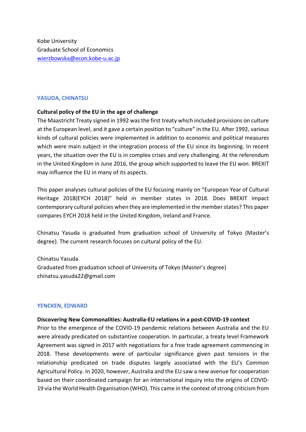# **YASUDA, CHINATSU**

# **Cultural policy of the EU in the age of challenge**

The Maastricht Treaty signed in 1992 was the first treaty which included provisions on culture at the European level, and it gave a certain position to "culture" in the EU. After 1992, various kinds of cultural policies were implemented in addition to economic and political measures which were main subject in the integration process of the EU since its beginning. In recent years, the situation over the EU is in complex crises and very challenging. At the referendum in the United Kingdom in June 2016, the group which supported to leave the EU won. BREXIT may influence the EU in many of its aspects.

This paper analyses cultural policies of the EU focusing mainly on "European Year of Cultural Heritage 2018(EYCH 2018)" held in member states in 2018. Does BREXIT impact contemporary cultural policies when they are implemented in the member states? This paper compares EYCH 2018 held in the United Kingdom, Ireland and France.

Chinatsu Yasuda is graduated from graduation school of University of Tokyo (Master's degree). The current research focuses on cultural policy of the EU.

Chinatsu Yasuda Graduated from graduation school of University of Tokyo (Master's degree) chinatsu.yasuda22@gmail.com

## **YENCKEN, EDWARD**

## **Discovering New Commonalities: Australia-EU relations in a post-COVID-19 context**

Prior to the emergence of the COVID-19 pandemic relations between Australia and the EU were already predicated on substantive cooperation. In particular, a treaty level Framework Agreement was signed in 2017 with negotiations for a free trade agreement commencing in 2018. These developments were of particular significance given past tensions in the relationship predicated on trade disputes largely associated with the EU's Common Agricultural Policy. In 2020, however, Australia and the EU saw a new avenue for cooperation based on their coordinated campaign for an international inquiry into the origins of COVID-19 via the World Health Organisation (WHO). This came in the context of strong criticism from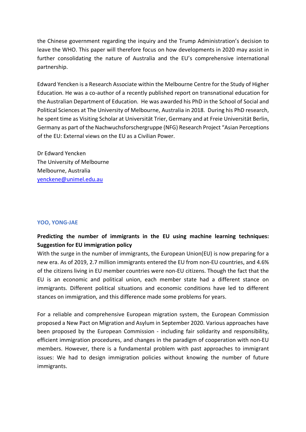the Chinese government regarding the inquiry and the Trump Administration's decision to leave the WHO. This paper will therefore focus on how developments in 2020 may assist in further consolidating the nature of Australia and the EU's comprehensive international partnership.

Edward Yencken is a Research Associate within the Melbourne Centre for the Study of Higher Education. He was a co-author of a recently published report on transnational education for the Australian Department of Education. He was awarded his PhD in the School of Social and Political Sciences at The University of Melbourne, Australia in 2018. During his PhD research, he spent time as Visiting Scholar at Universität Trier, Germany and at Freie Universität Berlin, Germany as part of the Nachwuchsforschergruppe (NFG) Research Project "Asian Perceptions of the EU: External views on the EU as a Civilian Power.

Dr Edward Yencken The University of Melbourne Melbourne, Australia yenckene@unimel.edu.au

## **YOO, YONG-JAE**

## **Predicting the number of immigrants in the EU using machine learning techniques: Suggestion for EU immigration policy**

With the surge in the number of immigrants, the European Union(EU) is now preparing for a new era. As of 2019, 2.7 million immigrants entered the EU from non-EU countries, and 4.6% of the citizens living in EU member countries were non-EU citizens. Though the fact that the EU is an economic and political union, each member state had a different stance on immigrants. Different political situations and economic conditions have led to different stances on immigration, and this difference made some problems for years.

For a reliable and comprehensive European migration system, the European Commission proposed a New Pact on Migration and Asylum in September 2020. Various approaches have been proposed by the European Commission - including fair solidarity and responsibility, efficient immigration procedures, and changes in the paradigm of cooperation with non-EU members. However, there is a fundamental problem with past approaches to immigrant issues: We had to design immigration policies without knowing the number of future immigrants.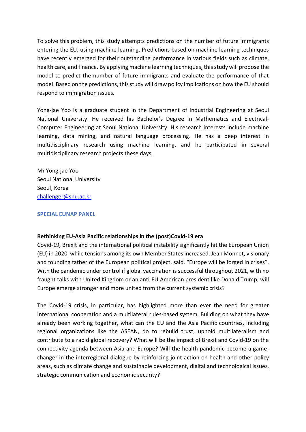To solve this problem, this study attempts predictions on the number of future immigrants entering the EU, using machine learning. Predictions based on machine learning techniques have recently emerged for their outstanding performance in various fields such as climate, health care, and finance. By applying machine learning techniques, this study will propose the model to predict the number of future immigrants and evaluate the performance of that model. Based on the predictions, this study will draw policy implications on how the EU should respond to immigration issues.

Yong-jae Yoo is a graduate student in the Department of Industrial Engineering at Seoul National University. He received his Bachelor's Degree in Mathematics and Electrical-Computer Engineering at Seoul National University. His research interests include machine learning, data mining, and natural language processing. He has a deep interest in multidisciplinary research using machine learning, and he participated in several multidisciplinary research projects these days.

Mr Yong-jae Yoo Seoul National University Seoul, Korea challenger@snu.ac.kr

## **SPECIAL EUNAP PANEL**

## **Rethinking EU-Asia Pacific relationships in the (post)Covid-19 era**

Covid-19, Brexit and the international political instability significantly hit the European Union (EU) in 2020, while tensions among its own Member States increased. Jean Monnet, visionary and founding father of the European political project, said, "Europe will be forged in crises". With the pandemic under control if global vaccination is successful throughout 2021, with no fraught talks with United Kingdom or an anti-EU American president like Donald Trump, will Europe emerge stronger and more united from the current systemic crisis?

The Covid-19 crisis, in particular, has highlighted more than ever the need for greater international cooperation and a multilateral rules-based system. Building on what they have already been working together, what can the EU and the Asia Pacific countries, including regional organizations like the ASEAN, do to rebuild trust, uphold multilateralism and contribute to a rapid global recovery? What will be the impact of Brexit and Covid-19 on the connectivity agenda between Asia and Europe? Will the health pandemic become a gamechanger in the interregional dialogue by reinforcing joint action on health and other policy areas, such as climate change and sustainable development, digital and technological issues, strategic communication and economic security?